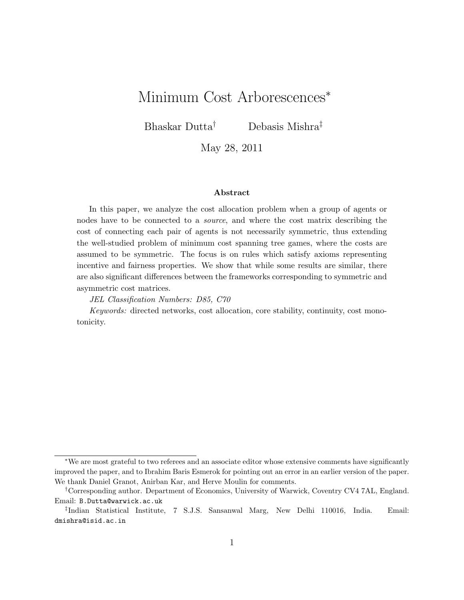# Minimum Cost Arborescences*<sup>∗</sup>*

Bhaskar Dutta*†* Debasis Mishra*‡*

May 28, 2011

#### **Abstract**

In this paper, we analyze the cost allocation problem when a group of agents or nodes have to be connected to a *source*, and where the cost matrix describing the cost of connecting each pair of agents is not necessarily symmetric, thus extending the well-studied problem of minimum cost spanning tree games, where the costs are assumed to be symmetric. The focus is on rules which satisfy axioms representing incentive and fairness properties. We show that while some results are similar, there are also significant differences between the frameworks corresponding to symmetric and asymmetric cost matrices.

*JEL Classification Numbers: D85, C70*

*Keywords:* directed networks, cost allocation, core stability, continuity, cost monotonicity.

*<sup>∗</sup>*We are most grateful to two referees and an associate editor whose extensive comments have significantly improved the paper, and to Ibrahim Baris Esmerok for pointing out an error in an earlier version of the paper. We thank Daniel Granot, Anirban Kar, and Herve Moulin for comments.

*<sup>†</sup>*Corresponding author. Department of Economics, University of Warwick, Coventry CV4 7AL, England. Email: B.Dutta@warwick.ac.uk

*<sup>‡</sup>* Indian Statistical Institute, 7 S.J.S. Sansanwal Marg, New Delhi 110016, India. Email: dmishra@isid.ac.in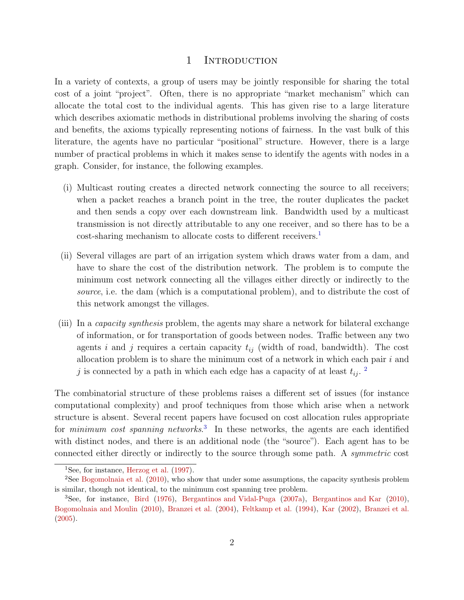#### 1 INTRODUCTION

In a variety of contexts, a group of users may be jointly responsible for sharing the total cost of a joint "project". Often, there is no appropriate "market mechanism" which can allocate the total cost to the individual agents. This has given rise to a large literature which describes axiomatic methods in distributional problems involving the sharing of costs and benefits, the axioms typically representing notions of fairness. In the vast bulk of this literature, the agents have no particular "positional" structure. However, there is a large number of practical problems in which it makes sense to identify the agents with nodes in a graph. Consider, for instance, the following examples.

- (i) Multicast routing creates a directed network connecting the source to all receivers; when a packet reaches a branch point in the tree, the router duplicates the packet and then sends a copy over each downstream link. Bandwidth used by a multicast transmission is not directly attributable to any one receiver, and so there has to be a cost-sharing mechanism to allocate costs to different receivers.<sup>1</sup>
- (ii) Several villages are part of an irrigation system which draws water from a dam, and have to share the cost of the distribution network. The problem is to compute the minimum cost network connecting all the villages either directly or indirectly to the *source*, i.e. the dam (which is a computational problem), and to distribute the cost of this network amongst the villages.
- (iii) In a *capacity synthesis* problem, the agents may share a network for bilateral exchange of information, or for transportation of goods between nodes. Traffic between any two agents *i* and *j* requires a certain capacity  $t_{ij}$  (width of road, bandwidth). The cost allocation problem is to share the minimum cost of a network in which each pair *i* and *j* is connected by a path in which each edge has a capacity of at least  $t_{ij}$ .<sup>2</sup>

The combinatorial structure of these problems raises a different set of issues (for instance computational complexity) and proof techniques from those which arise when a network structure is absent. Several recent papers have focused on cost allocation rules appropriate for *minimum cost spanning networks*. 3 In these networks, the agents are each identified with distinct nodes, and there is an additional node (the "source"). Each agent has to be connected either directly or indirectly to the source through some path. A *symmetric* cost

<sup>&</sup>lt;sup>1</sup>See, for instance, Herzog et al.  $(1997)$ .

<sup>&</sup>lt;sup>2</sup>See Bogomolnaia et al.  $(2010)$ , who show that under some assumptions, the capacity synthesis problem is similar, though not identical, to the minimum cost spanning tree problem.

<sup>3</sup>See, for instance, Bird (1976), Bergantinos and Vidal-Puga (2007a), Bergantinos and Kar (2010), Bogomolnaia and Moulin (2010), Branzei et al. (2004), Feltkamp et al. (1994), Kar (2002), Branzei et al. (2005).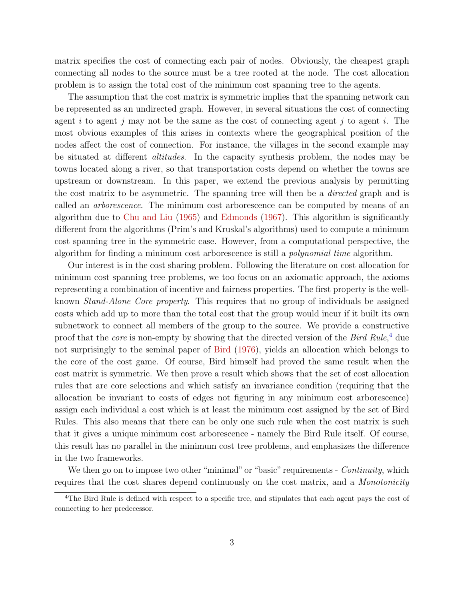matrix specifies the cost of connecting each pair of nodes. Obviously, the cheapest graph connecting all nodes to the source must be a tree rooted at the node. The cost allocation problem is to assign the total cost of the minimum cost spanning tree to the agents.

The assumption that the cost matrix is symmetric implies that the spanning network can be represented as an undirected graph. However, in several situations the cost of connecting agent *i* to agent *j* may not be the same as the cost of connecting agent *j* to agent *i*. The most obvious examples of this arises in contexts where the geographical position of the nodes affect the cost of connection. For instance, the villages in the second example may be situated at different *altitudes*. In the capacity synthesis problem, the nodes may be towns located along a river, so that transportation costs depend on whether the towns are upstream or downstream. In this paper, we extend the previous analysis by permitting the cost matrix to be asymmetric. The spanning tree will then be a *directed* graph and is called an *arborescence*. The minimum cost arborescence can be computed by means of an algorithm due to Chu and Liu (1965) and Edmonds (1967). This algorithm is significantly different from the algorithms (Prim's and Kruskal's algorithms) used to compute a minimum cost spanning tree in the symmetric case. However, from a computational perspective, the algorithm for finding a minimum cost arborescence is still a *polynomial time* algorithm.

Our interest is in the cost sharing problem. Following the literature on cost allocation for minimum cost spanning tree problems, we too focus on an axiomatic approach, the axioms representing a combination of incentive and fairness properties. The first property is the wellknown *Stand-Alone Core property*. This requires that no group of individuals be assigned costs which add up to more than the total cost that the group would incur if it built its own subnetwork to connect all members of the group to the source. We provide a constructive proof that the *core* is non-empty by showing that the directed version of the *Bird Rule*, <sup>4</sup> due not surprisingly to the seminal paper of Bird (1976), yields an allocation which belongs to the core of the cost game. Of course, Bird himself had proved the same result when the cost matrix is symmetric. We then prove a result which shows that the set of cost allocation rules that are core selections and which satisfy an invariance condition (requiring that the allocation be invariant to costs of edges not figuring in any minimum cost arborescence) assign each individual a cost which is at least the minimum cost assigned by the set of Bird Rules. This also means that there can be only one such rule when the cost matrix is such that it gives a unique minimum cost arborescence - namely the Bird Rule itself. Of course, this result has no parallel in the minimum cost tree problems, and emphasizes the difference in the two frameworks.

We then go on to impose two other "minimal" or "basic" requirements - *Continuity*, which requires that the cost shares depend continuously on the cost matrix, and a *Monotonicity*

<sup>&</sup>lt;sup>4</sup>The Bird Rule is defined with respect to a specific tree, and stipulates that each agent pays the cost of connecting to her predecessor.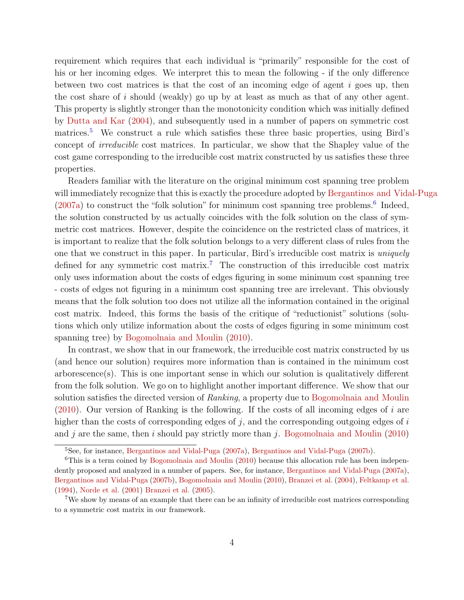requirement which requires that each individual is "primarily" responsible for the cost of his or her incoming edges. We interpret this to mean the following - if the only difference between two cost matrices is that the cost of an incoming edge of agent *i* goes up, then the cost share of *i* should (weakly) go up by at least as much as that of any other agent. This property is slightly stronger than the monotonicity condition which was initially defined by Dutta and Kar (2004), and subsequently used in a number of papers on symmetric cost matrices.<sup>5</sup> We construct a rule which satisfies these three basic properties, using Bird's concept of *irreducible* cost matrices. In particular, we show that the Shapley value of the cost game corresponding to the irreducible cost matrix constructed by us satisfies these three properties.

Readers familiar with the literature on the original minimum cost spanning tree problem will immediately recognize that this is exactly the procedure adopted by Bergantinos and Vidal-Puga  $(2007a)$  to construct the "folk solution" for minimum cost spanning tree problems.<sup>6</sup> Indeed, the solution constructed by us actually coincides with the folk solution on the class of symmetric cost matrices. However, despite the coincidence on the restricted class of matrices, it is important to realize that the folk solution belongs to a very different class of rules from the one that we construct in this paper. In particular, Bird's irreducible cost matrix is *uniquely* defined for any symmetric cost matrix.<sup>7</sup> The construction of this irreducible cost matrix only uses information about the costs of edges figuring in some minimum cost spanning tree - costs of edges not figuring in a minimum cost spanning tree are irrelevant. This obviously means that the folk solution too does not utilize all the information contained in the original cost matrix. Indeed, this forms the basis of the critique of "reductionist" solutions (solutions which only utilize information about the costs of edges figuring in some minimum cost spanning tree) by Bogomolnaia and Moulin (2010).

In contrast, we show that in our framework, the irreducible cost matrix constructed by us (and hence our solution) requires more information than is contained in the minimum cost  $arborescence(s)$ . This is one important sense in which our solution is qualitatively different from the folk solution. We go on to highlight another important difference. We show that our solution satisfies the directed version of *Ranking*, a property due to Bogomolnaia and Moulin (2010). Our version of Ranking is the following. If the costs of all incoming edges of *i* are higher than the costs of corresponding edges of *j*, and the corresponding outgoing edges of *i* and *j* are the same, then *i* should pay strictly more than *j*. Bogomolnaia and Moulin (2010)

<sup>5</sup>See, for instance, Bergantinos and Vidal-Puga (2007a), Bergantinos and Vidal-Puga (2007b).

<sup>&</sup>lt;sup>6</sup>This is a term coined by Bogomolnaia and Moulin (2010) because this allocation rule has been independently proposed and analyzed in a number of papers. See, for instance, Bergantinos and Vidal-Puga (2007a), Bergantinos and Vidal-Puga (2007b), Bogomolnaia and Moulin (2010), Branzei et al. (2004), Feltkamp et al. (1994), Norde et al. (2001) Branzei et al. (2005).

<sup>7</sup>We show by means of an example that there can be an infinity of irreducible cost matrices corresponding to a symmetric cost matrix in our framework.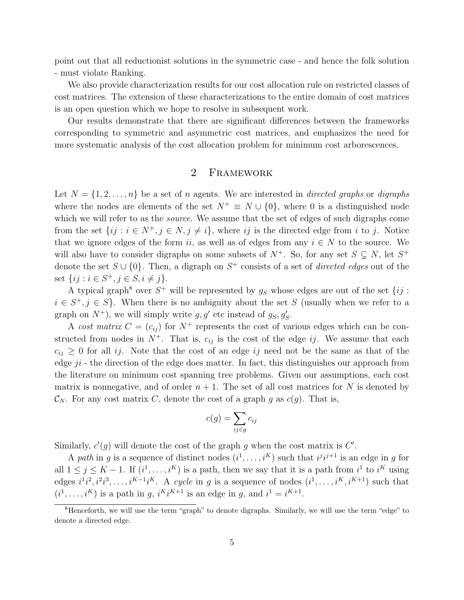point out that all reductionist solutions in the symmetric case - and hence the folk solution - must violate Ranking.

We also provide characterization results for our cost allocation rule on restricted classes of cost matrices. The extension of these characterizations to the entire domain of cost matrices is an open question which we hope to resolve in subsequent work.

Our results demonstrate that there are significant differences between the frameworks corresponding to symmetric and asymmetric cost matrices, and emphasizes the need for more systematic analysis of the cost allocation problem for minimum cost arborescences.

## 2 Framework

Let  $N = \{1, 2, \ldots, n\}$  be a set of *n* agents. We are interested in *directed graphs* or *digraphs* where the nodes are elements of the set  $N^+ \equiv N \cup \{0\}$ , where 0 is a distinguished node which we will refer to as the *source*. We assume that the set of edges of such digraphs come from the set  $\{ij : i \in N^+, j \in N, j \neq i\}$ , where *ij* is the directed edge from *i* to *j*. Notice that we ignore edges of the form *ii*, as well as of edges from any  $i \in N$  to the source. We will also have to consider digraphs on some subsets of  $N^+$ . So, for any set  $S \subsetneq N$ , let  $S^+$ denote the set *S ∪ {*0*}*. Then, a digraph on *S* <sup>+</sup> consists of a set of *directed edges* out of the set  $\{ij : i \in S^+, j \in S, i \neq j\}.$ 

A typical graph<sup>8</sup> over  $S^+$  will be represented by  $g_S$  whose edges are out of the set  $\{ij : S^+ \}$  $i \in S^+, j \in S$ . When there is no ambiguity about the set *S* (usually when we refer to a graph on  $N^+$ ), we will simply write  $g, g'$  etc instead of  $g_S, g'_S$ .

A *cost matrix*  $C = (c_{ij})$  for  $N^+$  represents the cost of various edges which can be constructed from nodes in  $N^+$ . That is,  $c_{ij}$  is the cost of the edge *ij*. We assume that each  $c_{ij} \geq 0$  for all *ij*. Note that the cost of an edge *ij* need not be the same as that of the edge *ji* - the direction of the edge does matter. In fact, this distinguishes our approach from the literature on minimum cost spanning tree problems. Given our assumptions, each cost matrix is nonnegative, and of order  $n + 1$ . The set of all cost matrices for *N* is denoted by  $\mathcal{C}_N$ . For any cost matrix *C*, denote the cost of a graph *g* as *c*(*g*). That is,

$$
c(g) = \sum_{ij \in g} c_{ij}
$$

Similarly,  $c'(g)$  will denote the cost of the graph *g* when the cost matrix is  $C'$ .

A path in g is a sequence of distinct nodes  $(i^1, \ldots, i^K)$  such that  $i^j i^{j+1}$  is an edge in g for all  $1 \leq j \leq K-1$ . If  $(i^1, \ldots, i^K)$  is a path, then we say that it is a path from  $i^1$  to  $i^K$  using edges  $i^1i^2, i^2i^3, \ldots, i^{K-1}i^K$ . A cycle in g is a sequence of nodes  $(i^1, \ldots, i^K, i^{K+1})$  such that  $(i^1, \ldots, i^K)$  is a path in *g*,  $i^K i^{K+1}$  is an edge in *g*, and  $i^1 = i^{K+1}$ .

<sup>8</sup>Henceforth, we will use the term "graph" to denote digraphs. Similarly, we will use the term "edge" to denote a directed edge.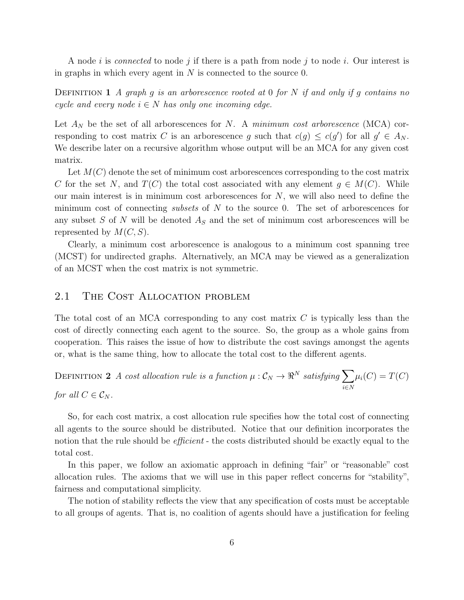A node *i* is *connected* to node *j* if there is a path from node *j* to node *i*. Our interest is in graphs in which every agent in *N* is connected to the source 0.

Definition **1** *A graph g is an arborescence rooted at* 0 *for N if and only if g contains no cycle and every node*  $i \in N$  *has only one incoming edge.* 

Let  $A_N$  be the set of all arborescences for *N*. A *minimum cost arborescence* (MCA) corresponding to cost matrix *C* is an arborescence *g* such that  $c(g) \leq c(g')$  for all  $g' \in A_N$ . We describe later on a recursive algorithm whose output will be an MCA for any given cost matrix.

Let  $M(C)$  denote the set of minimum cost arborescences corresponding to the cost matrix *C* for the set *N*, and *T*(*C*) the total cost associated with any element  $g \in M(C)$ . While our main interest is in minimum cost arborescences for *N*, we will also need to define the minimum cost of connecting *subsets* of *N* to the source 0. The set of arborescences for any subset *S* of *N* will be denoted *A<sup>S</sup>* and the set of minimum cost arborescences will be represented by  $M(C, S)$ .

Clearly, a minimum cost arborescence is analogous to a minimum cost spanning tree (MCST) for undirected graphs. Alternatively, an MCA may be viewed as a generalization of an MCST when the cost matrix is not symmetric.

### 2.1 THE COST ALLOCATION PROBLEM

The total cost of an MCA corresponding to any cost matrix *C* is typically less than the cost of directly connecting each agent to the source. So, the group as a whole gains from cooperation. This raises the issue of how to distribute the cost savings amongst the agents or, what is the same thing, how to allocate the total cost to the different agents.

DEFINITION 2 *A cost allocation rule is a function*  $\mu$  :  $\mathcal{C}_N \to \Re^N$  satisfying  $\sum$ *i∈N*  $\mu_i(C) = T(C)$ 

*for all*  $C \in \mathcal{C}_N$ *.* 

So, for each cost matrix, a cost allocation rule specifies how the total cost of connecting all agents to the source should be distributed. Notice that our definition incorporates the notion that the rule should be *efficient* - the costs distributed should be exactly equal to the total cost.

In this paper, we follow an axiomatic approach in defining "fair" or "reasonable" cost allocation rules. The axioms that we will use in this paper reflect concerns for "stability", fairness and computational simplicity.

The notion of stability reflects the view that any specification of costs must be acceptable to all groups of agents. That is, no coalition of agents should have a justification for feeling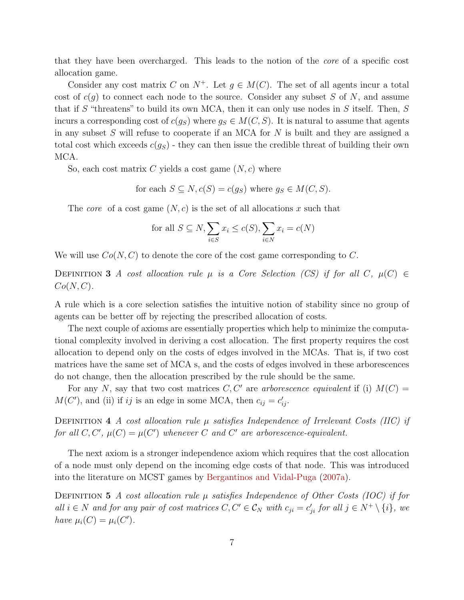that they have been overcharged. This leads to the notion of the *core* of a specific cost allocation game.

Consider any cost matrix *C* on  $N^+$ . Let  $q \in M(C)$ . The set of all agents incur a total cost of *c*(*g*) to connect each node to the source. Consider any subset *S* of *N*, and assume that if *S* "threatens" to build its own MCA, then it can only use nodes in *S* itself. Then, *S* incurs a corresponding cost of  $c(g_S)$  where  $g_S \in M(C, S)$ . It is natural to assume that agents in any subset *S* will refuse to cooperate if an MCA for *N* is built and they are assigned a total cost which exceeds  $c(g_S)$  - they can then issue the credible threat of building their own MCA.

So, each cost matrix *C* yields a cost game (*N, c*) where

for each  $S \subseteq N$ ,  $c(S) = c(g_S)$  where  $g_S \in M(C, S)$ .

The *core* of a cost game  $(N, c)$  is the set of all allocations  $x$  such that

for all 
$$
S \subseteq N
$$
,  $\sum_{i \in S} x_i \le c(S)$ ,  $\sum_{i \in N} x_i = c(N)$ 

We will use *Co*(*N, C*) to denote the core of the cost game corresponding to *C*.

DEFINITION **3** *A cost allocation rule*  $\mu$  *is a Core Selection (CS) if for all C,*  $\mu(C) \in$ *Co*(*N, C*)*.*

A rule which is a core selection satisfies the intuitive notion of stability since no group of agents can be better off by rejecting the prescribed allocation of costs.

The next couple of axioms are essentially properties which help to minimize the computational complexity involved in deriving a cost allocation. The first property requires the cost allocation to depend only on the costs of edges involved in the MCAs. That is, if two cost matrices have the same set of MCA s, and the costs of edges involved in these arborescences do not change, then the allocation prescribed by the rule should be the same.

For any *N*, say that two cost matrices *C*, *C'* are *arborescence equivalent* if (i)  $M(C)$  =  $M(C')$ , and (ii) if *ij* is an edge in some MCA, then  $c_{ij} = c'_{ij}$ .

DEFINITION 4 *A* cost allocation rule  $\mu$  satisfies Independence of Irrelevant Costs (IIC) if *for all*  $C, C', \mu(C) = \mu(C')$  *whenever*  $C$  *and*  $C'$  *are arborescence-equivalent.* 

The next axiom is a stronger independence axiom which requires that the cost allocation of a node must only depend on the incoming edge costs of that node. This was introduced into the literature on MCST games by Bergantinos and Vidal-Puga (2007a).

Definition **5** *A cost allocation rule µ satisfies Independence of Other Costs (IOC) if for* all  $i \in N$  and for any pair of cost matrices  $C, C' \in \mathcal{C}_N$  with  $c_{ji} = c'_{ji}$  for all  $j \in N^+ \setminus \{i\}$ , we *have*  $\mu_i(C) = \mu_i(C')$ *.*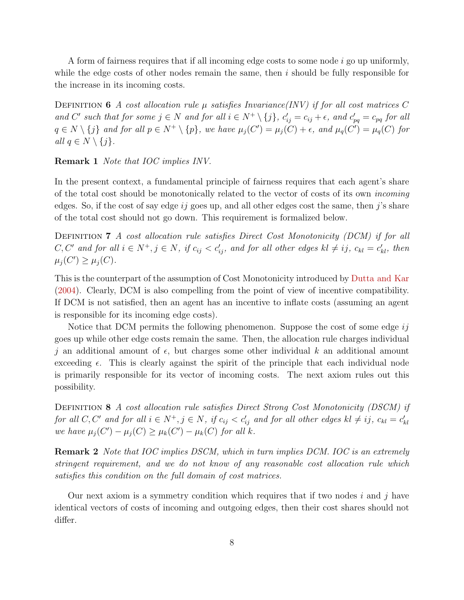A form of fairness requires that if all incoming edge costs to some node *i* go up uniformly, while the edge costs of other nodes remain the same, then *i* should be fully responsible for the increase in its incoming costs.

DEFINITION 6 A cost allocation rule  $\mu$  satisfies Invariance(INV) if for all cost matrices C and C' such that for some  $j \in N$  and for all  $i \in N^+ \setminus \{j\}$ ,  $c'_{ij} = c_{ij} + \epsilon$ , and  $c'_{pq} = c_{pq}$  for all  $q \in N \setminus \{j\}$  and for all  $p \in N^+ \setminus \{p\}$ , we have  $\mu_j(C') = \mu_j(C) + \epsilon$ , and  $\mu_q(C') = \mu_q(C)$  for  $all \, q \in N \setminus \{j\}.$ 

#### **Remark 1** *Note that IOC implies INV.*

In the present context, a fundamental principle of fairness requires that each agent's share of the total cost should be monotonically related to the vector of costs of its own *incoming* edges. So, if the cost of say edge *ij* goes up, and all other edges cost the same, then *j*'s share of the total cost should not go down. This requirement is formalized below.

DEFINITION **7** *A* cost allocation rule satisfies Direct Cost Monotonicity (DCM) if for all  $C, C'$  and for all  $i \in N^+, j \in N$ , if  $c_{ij} < c'_{ij}$ , and for all other edges  $kl \neq ij$ ,  $c_{kl} = c'_{kl}$ , then  $\mu_j(C') \geq \mu_j(C)$ .

This is the counterpart of the assumption of Cost Monotonicity introduced by Dutta and Kar (2004). Clearly, DCM is also compelling from the point of view of incentive compatibility. If DCM is not satisfied, then an agent has an incentive to inflate costs (assuming an agent is responsible for its incoming edge costs).

Notice that DCM permits the following phenomenon. Suppose the cost of some edge *ij* goes up while other edge costs remain the same. Then, the allocation rule charges individual *j* an additional amount of *ϵ*, but charges some other individual *k* an additional amount exceeding  $\epsilon$ . This is clearly against the spirit of the principle that each individual node is primarily responsible for its vector of incoming costs. The next axiom rules out this possibility.

Definition **8** *A cost allocation rule satisfies Direct Strong Cost Monotonicity (DSCM) if* for all C, C' and for all  $i \in N^+, j \in N$ , if  $c_{ij} < c'_{ij}$  and for all other edges  $kl \neq ij$ ,  $c_{kl} = c'_{kl}$ *we have*  $\mu_j(C') - \mu_j(C) \geq \mu_k(C') - \mu_k(C)$  *for all k.* 

**Remark 2** *Note that IOC implies DSCM, which in turn implies DCM. IOC is an extremely stringent requirement, and we do not know of any reasonable cost allocation rule which satisfies this condition on the full domain of cost matrices.*

Our next axiom is a symmetry condition which requires that if two nodes *i* and *j* have identical vectors of costs of incoming and outgoing edges, then their cost shares should not differ.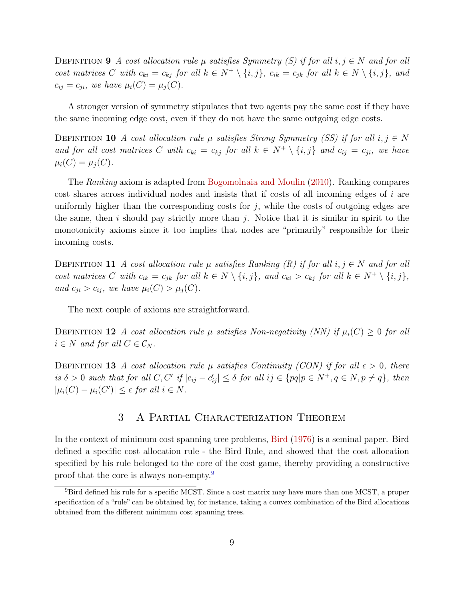DEFINITION **9** *A cost allocation rule*  $\mu$  *satisfies Symmetry (S) if for all*  $i, j \in N$  *and for all* cost matrices C with  $c_{ki} = c_{kj}$  for all  $k \in N^+ \setminus \{i, j\}$ ,  $c_{ik} = c_{jk}$  for all  $k \in N \setminus \{i, j\}$ , and  $c_{ij} = c_{ji}$ *, we have*  $\mu_i(C) = \mu_j(C)$ *.* 

A stronger version of symmetry stipulates that two agents pay the same cost if they have the same incoming edge cost, even if they do not have the same outgoing edge costs.

DEFINITION **10** *A* cost allocation rule  $\mu$  satisfies Strong Symmetry (SS) if for all  $i, j \in N$ and for all cost matrices C with  $c_{ki} = c_{kj}$  for all  $k \in N^+ \setminus \{i, j\}$  and  $c_{ij} = c_{ji}$ , we have  $\mu_i(C) = \mu_j(C)$ .

The *Ranking* axiom is adapted from Bogomolnaia and Moulin (2010). Ranking compares cost shares across individual nodes and insists that if costs of all incoming edges of *i* are uniformly higher than the corresponding costs for *j*, while the costs of outgoing edges are the same, then  $i$  should pay strictly more than  $j$ . Notice that it is similar in spirit to the monotonicity axioms since it too implies that nodes are "primarily" responsible for their incoming costs.

DEFINITION **11** *A* cost allocation rule  $\mu$  satisfies Ranking (R) if for all  $i, j \in N$  and for all cost matrices C with  $c_{ik} = c_{jk}$  for all  $k \in N \setminus \{i, j\}$ , and  $c_{ki} > c_{kj}$  for all  $k \in N^+ \setminus \{i, j\}$ , *and*  $c_{ji} > c_{ij}$ , we have  $\mu_i(C) > \mu_j(C)$ .

The next couple of axioms are straightforward.

DEFINITION 12 *A* cost allocation rule  $\mu$  satisfies Non-negativity (NN) if  $\mu_i(C) \geq 0$  for all  $i \in N$  *and for all*  $C \in \mathcal{C}_N$ *.* 

DEFINITION **13** *A* cost allocation rule  $\mu$  satisfies Continuity (CON) if for all  $\epsilon > 0$ , there is  $\delta > 0$  such that for all C, C' if  $|c_{ij} - c'_{ij}| \leq \delta$  for all  $ij \in \{pq|p \in N^+, q \in N, p \neq q\}$ , then  $| \mu_i(C) - \mu_i(C') | \leq \epsilon \text{ for all } i \in N.$ 

## 3 A Partial Characterization Theorem

In the context of minimum cost spanning tree problems, Bird (1976) is a seminal paper. Bird defined a specific cost allocation rule - the Bird Rule, and showed that the cost allocation specified by his rule belonged to the core of the cost game, thereby providing a constructive proof that the core is always non-empty.<sup>9</sup>

 $98$  Bird defined his rule for a specific MCST. Since a cost matrix may have more than one MCST, a proper specification of a "rule" can be obtained by, for instance, taking a convex combination of the Bird allocations obtained from the different minimum cost spanning trees.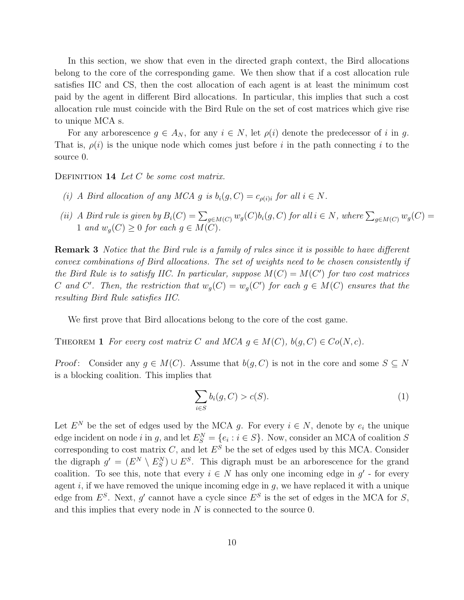In this section, we show that even in the directed graph context, the Bird allocations belong to the core of the corresponding game. We then show that if a cost allocation rule satisfies IIC and CS, then the cost allocation of each agent is at least the minimum cost paid by the agent in different Bird allocations. In particular, this implies that such a cost allocation rule must coincide with the Bird Rule on the set of cost matrices which give rise to unique MCA s.

For any arborescence  $g \in A_N$ , for any  $i \in N$ , let  $\rho(i)$  denote the predecessor of *i* in *g*. That is,  $\rho(i)$  is the unique node which comes just before *i* in the path connecting *i* to the source 0.

Definition **14** *Let C be some cost matrix.*

- (*i*) *A Bird allocation of any MCA g is*  $b_i(g, C) = c_{\rho(i)i}$  *for all*  $i \in N$ *.*
- (ii) A Bird rule is given by  $B_i(C) = \sum_{g \in M(C)} w_g(C) b_i(g, C)$  for all  $i \in N$ , where  $\sum_{g \in M(C)} w_g(C)$ 1 and  $w_g(C) \geq 0$  for each  $g \in M(C)$ .

**Remark 3** *Notice that the Bird rule is a family of rules since it is possible to have different convex combinations of Bird allocations. The set of weights need to be chosen consistently if the Bird Rule is to satisfy IIC. In particular, suppose*  $M(C) = M(C')$  *for two cost matrices C* and *C*'. Then, the restriction that  $w_g(C) = w_g(C')$  for each  $g \in M(C)$  ensures that the *resulting Bird Rule satisfies IIC.*

We first prove that Bird allocations belong to the core of the cost game.

THEOREM **1** For every cost matrix C and MCA  $g \in M(C)$ ,  $b(g, C) \in Co(N, c)$ .

*Proof*: Consider any  $g \in M(C)$ . Assume that  $b(g, C)$  is not in the core and some  $S \subseteq N$ is a blocking coalition. This implies that

$$
\sum_{i \in S} b_i(g, C) > c(S). \tag{1}
$$

Let  $E^N$  be the set of edges used by the MCA *g*. For every  $i \in N$ , denote by  $e_i$  the unique edge incident on node *i* in *g*, and let  $E_S^N = \{e_i : i \in S\}$ . Now, consider an MCA of coalition *S* corresponding to cost matrix  $C$ , and let  $E^S$  be the set of edges used by this MCA. Consider the digraph  $g' = (E^N \setminus E^N_S) \cup E^S$ . This digraph must be an arborescence for the grand coalition. To see this, note that every  $i \in N$  has only one incoming edge in  $g'$  - for every agent *i*, if we have removed the unique incoming edge in *g*, we have replaced it with a unique edge from  $E^S$ . Next,  $g'$  cannot have a cycle since  $E^S$  is the set of edges in the MCA for *S*, and this implies that every node in *N* is connected to the source 0.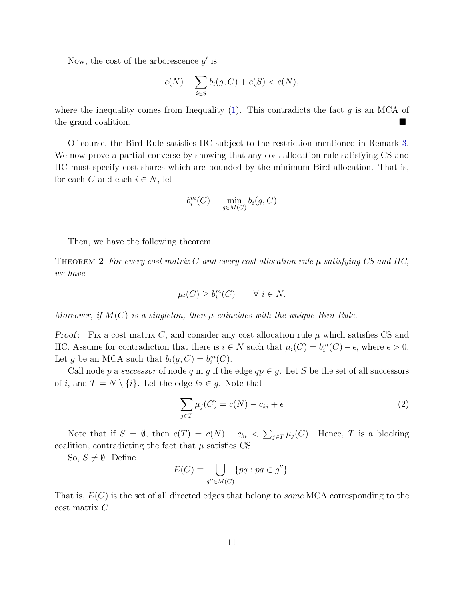Now, the cost of the arborescence *g ′* is

$$
c(N) - \sum_{i \in S} b_i(g, C) + c(S) < c(N),
$$

where the inequality comes from Inequality (1). This contradicts the fact *g* is an MCA of the grand coalition.

Of course, the Bird Rule satisfies IIC subject to the restriction mentioned in Remark 3. We now prove a partial converse by showing that any cost allocation rule satisfying CS and IIC must specify cost shares which are bounded by the minimum Bird allocation. That is, for each  $C$  and each  $i \in N$ , let

$$
b_i^m(C) = \min_{g \in M(C)} b_i(g, C)
$$

Then, we have the following theorem.

Theorem **2** *For every cost matrix C and every cost allocation rule µ satisfying CS and IIC, we have*

$$
\mu_i(C) \ge b_i^m(C) \qquad \forall \ i \in N.
$$

*Moreover, if M*(*C*) *is a singleton, then µ coincides with the unique Bird Rule.*

*Proof*: Fix a cost matrix  $C$ , and consider any cost allocation rule  $\mu$  which satisfies CS and IIC. Assume for contradiction that there is  $i \in N$  such that  $\mu_i(C) = b_i^m(C) - \epsilon$ , where  $\epsilon > 0$ . Let *g* be an MCA such that  $b_i(g, C) = b_i^m(C)$ .

Call node *p* a *successor* of node *q* in *g* if the edge  $qp \in g$ . Let *S* be the set of all successors of *i*, and  $T = N \setminus \{i\}$ . Let the edge  $ki \in q$ . Note that

$$
\sum_{j \in T} \mu_j(C) = c(N) - c_{ki} + \epsilon \tag{2}
$$

Note that if  $S = \emptyset$ , then  $c(T) = c(N) - c_{ki} < \sum_{j \in T} \mu_j(C)$ . Hence, *T* is a blocking coalition, contradicting the fact that  $\mu$  satisfies CS.

So,  $S \neq \emptyset$ . Define

$$
E(C) \equiv \bigcup_{g'' \in M(C)} \{pq : pq \in g''\}.
$$

That is, *E*(*C*) is the set of all directed edges that belong to *some* MCA corresponding to the cost matrix *C*.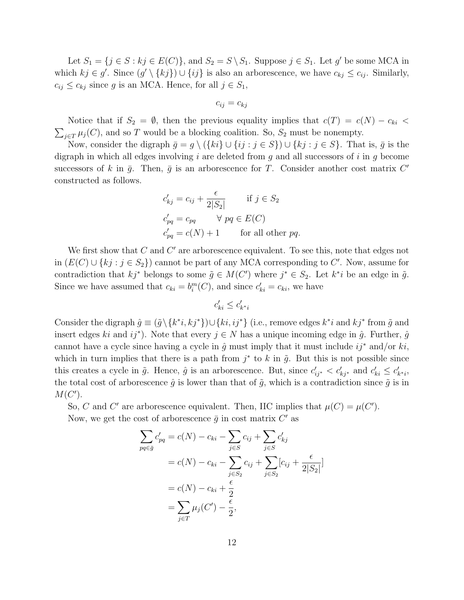Let  $S_1 = \{j \in S : kj \in E(C)\}\$ , and  $S_2 = S \setminus S_1$ . Suppose  $j \in S_1$ . Let  $g'$  be some MCA in which  $kj \in g'$ . Since  $(g' \setminus \{kj\}) \cup \{ij\}$  is also an arborescence, we have  $c_{kj} \leq c_{ij}$ . Similarly,  $c_{ij} \leq c_{kj}$  since *g* is an MCA. Hence, for all  $j \in S_1$ ,

$$
c_{ij} = c_{kj}
$$

Notice that if  $S_2 = \emptyset$ , then the previous equality implies that  $c(T) = c(N) - c_{ki}$  $\sum_{j\in T} \mu_j(C)$ , and so *T* would be a blocking coalition. So,  $S_2$  must be nonempty.

Now, consider the digraph  $\bar{g} = g \setminus (\{ki\} \cup \{ij : j \in S\}) \cup \{kj : j \in S\}$ . That is,  $\bar{g}$  is the digraph in which all edges involving *i* are deleted from *g* and all successors of *i* in *g* become successors of *k* in  $\bar{g}$ . Then,  $\bar{g}$  is an arborescence for *T*. Consider another cost matrix  $C'$ constructed as follows.

$$
c'_{kj} = c_{ij} + \frac{\epsilon}{2|S_2|} \quad \text{if } j \in S_2
$$
  
\n
$$
c'_{pq} = c_{pq} \quad \forall pq \in E(C)
$$
  
\n
$$
c'_{pq} = c(N) + 1 \quad \text{for all other } pq.
$$

We first show that *C* and *C'* are arborescence equivalent. To see this, note that edges not in (*E*(*C*) *∪ {kj* : *j ∈ S*2*}*) cannot be part of any MCA corresponding to *C ′* . Now, assume for contradiction that  $kj^*$  belongs to some  $\tilde{g} \in M(C')$  where  $j^* \in S_2$ . Let  $k^*i$  be an edge in  $\tilde{g}$ . Since we have assumed that  $c_{ki} = b_i^m(C)$ , and since  $c'_{ki} = c_{ki}$ , we have

$$
c'_{ki}\leq c'_{k^*i}
$$

Consider the digraph  $\hat{g} \equiv (\tilde{g} \setminus \{k^*i, kj^*\}) \cup \{ki, ij^*\}$  (i.e., remove edges  $k^*i$  and  $kj^*$  from  $\tilde{g}$  and insert edges *ki* and  $ij^*$ ). Note that every  $j \in N$  has a unique incoming edge in  $\hat{g}$ . Further,  $\hat{g}$ cannot have a cycle since having a cycle in  $\hat{q}$  must imply that it must include  $ij^*$  and/or  $ki$ , which in turn implies that there is a path from  $j^*$  to  $k$  in  $\tilde{g}$ . But this is not possible since this creates a cycle in  $\tilde{g}$ . Hence,  $\hat{g}$  is an arborescence. But, since  $c'_{ij^*} < c'_{kj^*}$  and  $c'_{ki} \leq c'_{k^*i}$ , the total cost of arborescence  $\hat{g}$  is lower than that of  $\tilde{g}$ , which is a contradiction since  $\tilde{g}$  is in  $M(C')$ .

So, *C* and *C'* are arborescence equivalent. Then, IIC implies that  $\mu(C) = \mu(C')$ . Now, we get the cost of arborescence  $\bar{g}$  in cost matrix  $C'$  as

$$
\sum_{pq \in \bar{g}} c'_{pq} = c(N) - c_{ki} - \sum_{j \in S} c_{ij} + \sum_{j \in S} c'_{kj}
$$
  
=  $c(N) - c_{ki} - \sum_{j \in S_2} c_{ij} + \sum_{j \in S_2} [c_{ij} + \frac{\epsilon}{2|S_2|}]$   
=  $c(N) - c_{ki} + \frac{\epsilon}{2}$   
=  $\sum_{j \in T} \mu_j(C') - \frac{\epsilon}{2}$ ,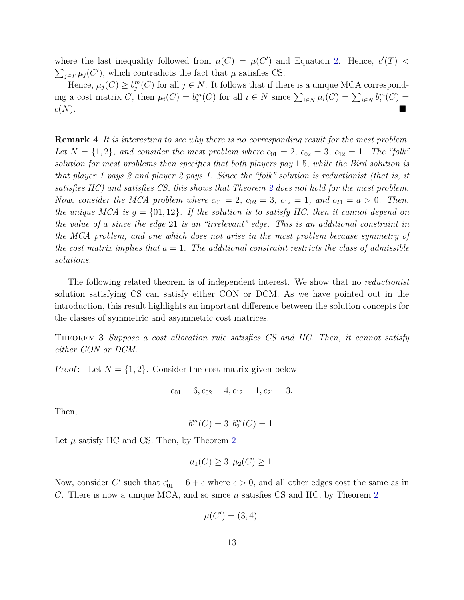where the last inequality followed from  $\mu(C) = \mu(C')$  and Equation 2. Hence,  $c'(T)$  $\sum_{j \in T} \mu_j(C')$ , which contradicts the fact that  $\mu$  satisfies CS.

Hence,  $\mu_j(C) \geq b_j^m(C)$  for all  $j \in N$ . It follows that if there is a unique MCA corresponding a cost matrix C, then  $\mu_i(C) = b_i^m(C)$  for all  $i \in N$  since  $\sum_{i \in N} \mu_i(C) = \sum_{i \in N} b_i^m(C)$ *c*(*N*).

**Remark 4** *It is interesting to see why there is no corresponding result for the mcst problem. Let*  $N = \{1, 2\}$ *, and consider the mcst problem where*  $c_{01} = 2$ ,  $c_{02} = 3$ ,  $c_{12} = 1$ *. The "folk" solution for mcst problems then specifies that both players pay* 1*.*5*, while the Bird solution is that player 1 pays 2 and player 2 pays 1. Since the "folk" solution is reductionist (that is, it satisfies IIC) and satisfies CS, this shows that Theorem 2 does not hold for the mcst problem. Now, consider the MCA problem where*  $c_{01} = 2$ ,  $c_{02} = 3$ ,  $c_{12} = 1$ , and  $c_{21} = a > 0$ . Then, *the unique MCA is*  $g = \{01, 12\}$ *. If the solution is to satisfy IIC, then it cannot depend on the value of a since the edge* 21 *is an "irrelevant" edge. This is an additional constraint in the MCA problem, and one which does not arise in the mcst problem because symmetry of the cost matrix implies that*  $a = 1$ *. The additional constraint restricts the class of admissible solutions.*

The following related theorem is of independent interest. We show that no *reductionist* solution satisfying CS can satisfy either CON or DCM. As we have pointed out in the introduction, this result highlights an important difference between the solution concepts for the classes of symmetric and asymmetric cost matrices.

Theorem **3** *Suppose a cost allocation rule satisfies CS and IIC. Then, it cannot satisfy either CON or DCM.*

*Proof*: Let  $N = \{1, 2\}$ . Consider the cost matrix given below

$$
c_{01} = 6, c_{02} = 4, c_{12} = 1, c_{21} = 3.
$$

Then,

$$
b_1^m(C) = 3, b_2^m(C) = 1.
$$

Let  $\mu$  satisfy IIC and CS. Then, by Theorem 2

$$
\mu_1(C) \geq 3, \mu_2(C) \geq 1.
$$

Now, consider *C'* such that  $c'_{01} = 6 + \epsilon$  where  $\epsilon > 0$ , and all other edges cost the same as in *C*. There is now a unique MCA, and so since *µ* satisfies CS and IIC, by Theorem 2

$$
\mu(C') = (3, 4).
$$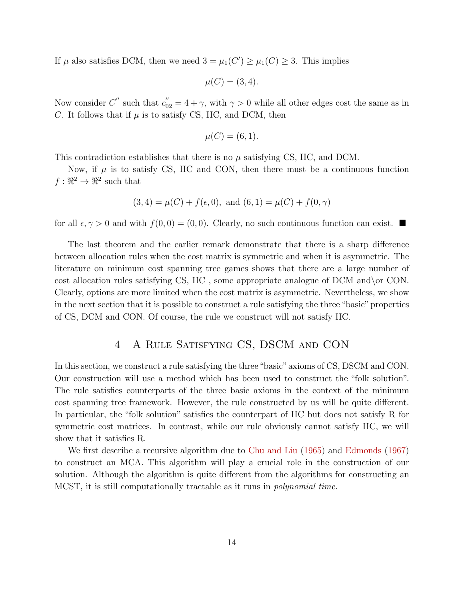If  $\mu$  also satisfies DCM, then we need  $3 = \mu_1(C') \geq \mu_1(C) \geq 3$ . This implies

$$
\mu(C) = (3, 4).
$$

Now consider *C''* such that  $c_{02}'' = 4 + \gamma$ , with  $\gamma > 0$  while all other edges cost the same as in *C*. It follows that if  $\mu$  is to satisfy CS, IIC, and DCM, then

$$
\mu(C)=(6,1).
$$

This contradiction establishes that there is no  $\mu$  satisfying CS, IIC, and DCM.

Now, if  $\mu$  is to satisfy CS, IIC and CON, then there must be a continuous function  $f: \Re^2 \to \Re^2$  such that

$$
(3,4) = \mu(C) + f(\epsilon,0)
$$
, and  $(6,1) = \mu(C) + f(0,\gamma)$ 

for all  $\epsilon, \gamma > 0$  and with  $f(0,0) = (0,0)$ . Clearly, no such continuous function can exist.

The last theorem and the earlier remark demonstrate that there is a sharp difference between allocation rules when the cost matrix is symmetric and when it is asymmetric. The literature on minimum cost spanning tree games shows that there are a large number of cost allocation rules satisfying CS, IIC , some appropriate analogue of DCM and*\*or CON. Clearly, options are more limited when the cost matrix is asymmetric. Nevertheless, we show in the next section that it is possible to construct a rule satisfying the three "basic" properties of CS, DCM and CON. Of course, the rule we construct will not satisfy IIC.

## 4 A Rule Satisfying CS, DSCM and CON

In this section, we construct a rule satisfying the three "basic" axioms of CS, DSCM and CON. Our construction will use a method which has been used to construct the "folk solution". The rule satisfies counterparts of the three basic axioms in the context of the minimum cost spanning tree framework. However, the rule constructed by us will be quite different. In particular, the "folk solution" satisfies the counterpart of IIC but does not satisfy R for symmetric cost matrices. In contrast, while our rule obviously cannot satisfy IIC, we will show that it satisfies R.

We first describe a recursive algorithm due to Chu and Liu (1965) and Edmonds (1967) to construct an MCA. This algorithm will play a crucial role in the construction of our solution. Although the algorithm is quite different from the algorithms for constructing an MCST, it is still computationally tractable as it runs in *polynomial time*.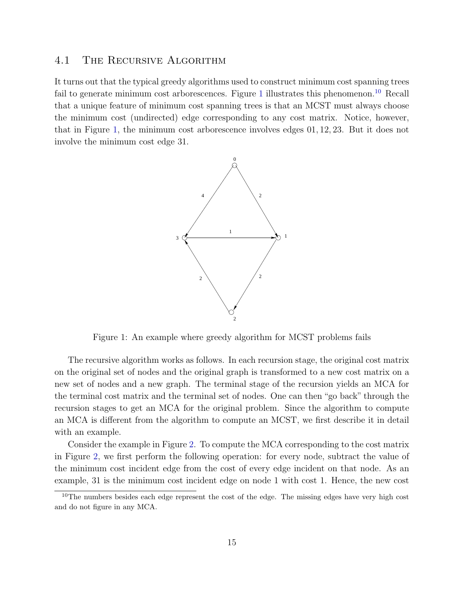## 4.1 The Recursive Algorithm

It turns out that the typical greedy algorithms used to construct minimum cost spanning trees fail to generate minimum cost arborescences. Figure 1 illustrates this phenomenon.<sup>10</sup> Recall that a unique feature of minimum cost spanning trees is that an MCST must always choose the minimum cost (undirected) edge corresponding to any cost matrix. Notice, however, that in Figure 1, the minimum cost arborescence involves edges 01*,* 12*,* 23. But it does not involve the minimum cost edge 31.



Figure 1: An example where greedy algorithm for MCST problems fails

The recursive algorithm works as follows. In each recursion stage, the original cost matrix on the original set of nodes and the original graph is transformed to a new cost matrix on a new set of nodes and a new graph. The terminal stage of the recursion yields an MCA for the terminal cost matrix and the terminal set of nodes. One can then "go back" through the recursion stages to get an MCA for the original problem. Since the algorithm to compute an MCA is different from the algorithm to compute an MCST, we first describe it in detail with an example.

Consider the example in Figure 2. To compute the MCA corresponding to the cost matrix in Figure 2, we first perform the following operation: for every node, subtract the value of the minimum cost incident edge from the cost of every edge incident on that node. As an example, 31 is the minimum cost incident edge on node 1 with cost 1. Hence, the new cost

<sup>&</sup>lt;sup>10</sup>The numbers besides each edge represent the cost of the edge. The missing edges have very high cost and do not figure in any MCA.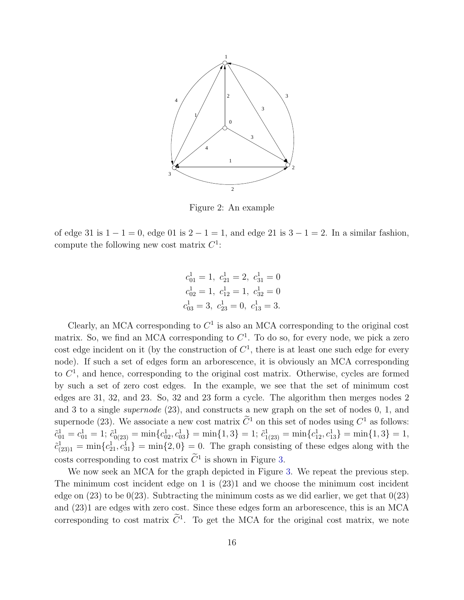

Figure 2: An example

of edge 31 is  $1 - 1 = 0$ , edge 01 is  $2 - 1 = 1$ , and edge 21 is  $3 - 1 = 2$ . In a similar fashion, compute the following new cost matrix *C* 1 :

$$
c_{01}^1 = 1, c_{21}^1 = 2, c_{31}^1 = 0
$$
  
\n $c_{02}^1 = 1, c_{12}^1 = 1, c_{32}^1 = 0$   
\n $c_{03}^1 = 3, c_{23}^1 = 0, c_{13}^1 = 3.$ 

Clearly, an MCA corresponding to  $C<sup>1</sup>$  is also an MCA corresponding to the original cost matrix. So, we find an MCA corresponding to  $C<sup>1</sup>$ . To do so, for every node, we pick a zero cost edge incident on it (by the construction of  $C<sup>1</sup>$ , there is at least one such edge for every node). If such a set of edges form an arborescence, it is obviously an MCA corresponding to  $C<sup>1</sup>$ , and hence, corresponding to the original cost matrix. Otherwise, cycles are formed by such a set of zero cost edges. In the example, we see that the set of minimum cost edges are 31, 32, and 23. So, 32 and 23 form a cycle. The algorithm then merges nodes 2 and 3 to a single *supernode* (23), and constructs a new graph on the set of nodes 0, 1, and supernode (23). We associate a new cost matrix  $\tilde{C}^1$  on this set of nodes using  $C^1$  as follows:  $\tilde{c}_{01}^1 = c_{01}^1 = 1$ ;  $\tilde{c}_{0(23)}^1 = \min\{c_{02}^1, c_{03}^1\} = \min\{1, 3\} = 1$ ;  $\tilde{c}_{1(23)}^1 = \min\{c_{12}^1, c_{13}^1\} = \min\{1, 3\} = 1$ ,  $\tilde{c}^1_{(23)1} = \min\{c_{21}^1, c_{31}^1\} = \min\{2, 0\} = 0$ . The graph consisting of these edges along with the costs corresponding to cost matrix  $C^1$  is shown in Figure 3.

We now seek an MCA for the graph depicted in Figure 3. We repeat the previous step. The minimum cost incident edge on 1 is (23)1 and we choose the minimum cost incident edge on  $(23)$  to be  $0(23)$ . Subtracting the minimum costs as we did earlier, we get that  $0(23)$ and (23)1 are edges with zero cost. Since these edges form an arborescence, this is an MCA corresponding to cost matrix  $\tilde{C}^1$ . To get the MCA for the original cost matrix, we note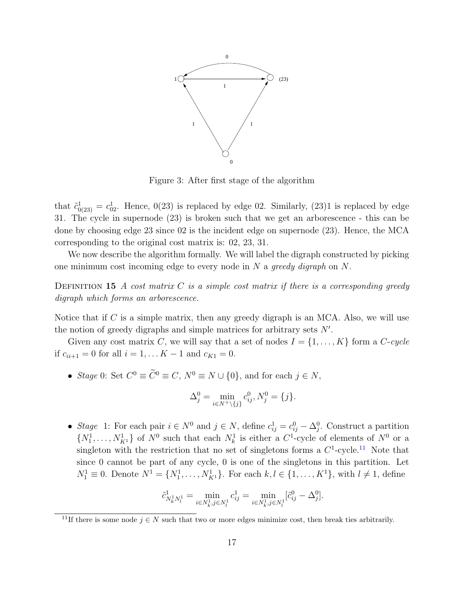

Figure 3: After first stage of the algorithm

that  $\tilde{c}_{0(23)}^1 = c_{02}^1$ . Hence, 0(23) is replaced by edge 02. Similarly, (23)1 is replaced by edge 31. The cycle in supernode (23) is broken such that we get an arborescence - this can be done by choosing edge 23 since 02 is the incident edge on supernode (23). Hence, the MCA corresponding to the original cost matrix is: 02, 23, 31.

We now describe the algorithm formally. We will label the digraph constructed by picking one minimum cost incoming edge to every node in *N* a *greedy digraph* on *N*.

DEFINITION 15 A cost matrix  $C$  is a simple cost matrix if there is a corresponding greedy *digraph which forms an arborescence.*

Notice that if *C* is a simple matrix, then any greedy digraph is an MCA. Also, we will use the notion of greedy digraphs and simple matrices for arbitrary sets *N′* .

Given any cost matrix *C*, we will say that a set of nodes  $I = \{1, \ldots, K\}$  form a *C-cycle* if  $c_{ii+1} = 0$  for all  $i = 1, \ldots K - 1$  and  $c_{K1} = 0$ .

• *Stage* 0: Set  $C^0 \equiv \tilde{C}^0 \equiv C$ ,  $N^0 \equiv N \cup \{0\}$ , and for each  $j \in N$ ,

$$
\Delta_j^0 = \min_{i \in N^+ \setminus \{j\}} c_{ij}^0, N_j^0 = \{j\}.
$$

• *Stage* 1: For each pair  $i \in N^0$  and  $j \in N$ , define  $c_{ij}^1 = c_{ij}^0 - \Delta_j^0$ . Construct a partition  $\{N_1^1, \ldots, N_{K^1}^1\}$  of  $N^0$  such that each  $N_k^1$  is either a  $C^1$ -cycle of elements of  $N^0$  or a singleton with the restriction that no set of singletons forms a  $C^1$ -cycle.<sup>11</sup> Note that since 0 cannot be part of any cycle, 0 is one of the singletons in this partition. Let  $N_1^1 \equiv 0$ . Denote  $N^1 = \{N_1^1, \ldots, N_{K^1}^1\}$ . For each  $k, l \in \{1, \ldots, K^1\}$ , with  $l \neq 1$ , define

$$
\tilde{c}^1_{N^1_kN^1_l} = \min_{i \in N^1_k, j \in N^1_l} c^1_{ij} = \min_{i \in N^1_k, j \in N^1_l} [\tilde{c}^0_{ij} - \Delta^0_j].
$$

<sup>&</sup>lt;sup>11</sup>If there is some node  $j \in N$  such that two or more edges minimize cost, then break ties arbitrarily.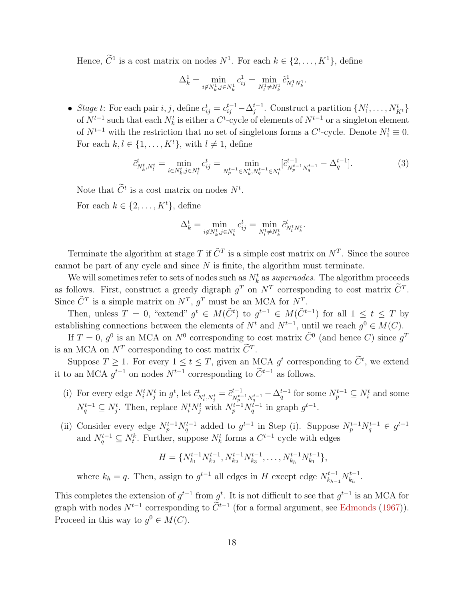Hence,  $\tilde{C}^1$  is a cost matrix on nodes  $N^1$ . For each  $k \in \{2, ..., K^1\}$ , define

$$
\Delta_k^1 = \min_{i \notin N_k^1, j \in N_k^1} c_{ij}^1 = \min_{N_l^1 \neq N_k^1} \tilde{c}_{N_l^1 N_k^1}^1.
$$

• Stage t: For each pair i, j, define  $c_{ij}^t = c_{ij}^{t-1} - \Delta_j^{t-1}$ . Construct a partition  $\{N_1^t, \ldots, N_{K^t}^t\}$ of  $N^{t-1}$  such that each  $N_k^t$  is either a  $C^t$ -cycle of elements of  $N^{t-1}$  or a singleton element of  $N^{t-1}$  with the restriction that no set of singletons forms a  $C^t$ -cycle. Denote  $N_1^t \equiv 0$ . For each  $k, l \in \{1, \ldots, K^t\}$ , with  $l \neq 1$ , define

$$
\tilde{c}_{N_k^t, N_l^t}^t = \min_{i \in N_k^t, j \in N_l^t} c_{ij}^t = \min_{N_p^{t-1} \in N_k^t, N_q^{t-1} \in N_l^t} [\tilde{c}_{N_p^{t-1} N_q^{t-1}}^{t-1} - \Delta_q^{t-1}].
$$
\n(3)

Note that  $\hat{C}^t$  is a cost matrix on nodes  $N^t$ .

For each  $k \in \{2, \ldots, K^t\}$ , define

$$
\Delta_k^t = \min_{i \notin N_k^t, j \in N_k^t} c_{ij}^t = \min_{N_l^t \neq N_k^t} \tilde{c}_{N_l^t N_k^t}^t.
$$

Terminate the algorithm at stage *T* if  $\tilde{C}^T$  is a simple cost matrix on  $N^T$ . Since the source cannot be part of any cycle and since *N* is finite, the algorithm must terminate.

We will sometimes refer to sets of nodes such as  $N_k^t$  as *supernodes*. The algorithm proceeds as follows. First, construct a greedy digraph  $g<sup>T</sup>$  on  $N<sup>T</sup>$  corresponding to cost matrix  $\tilde{C}^T$ . Since  $\tilde{C}^T$  is a simple matrix on  $N^T$ ,  $g^T$  must be an MCA for  $N^T$ .

Then, unless  $T = 0$ , "extend"  $g^t \in M(\tilde{C}^t)$  to  $g^{t-1} \in M(\tilde{C}^{t-1})$  for all  $1 \leq t \leq T$  by establishing connections between the elements of  $N<sup>t</sup>$  and  $N<sup>t-1</sup>$ , until we reach  $g<sup>0</sup> \in M(C)$ .

If  $T = 0$ ,  $g^0$  is an MCA on  $N^0$  corresponding to cost matrix  $\tilde{C}^0$  (and hence *C*) since  $g^T$ is an MCA on  $N^T$  corresponding to cost matrix  $\tilde{C}^T$ .

Suppose  $T \geq 1$ . For every  $1 \leq t \leq T$ , given an MCA  $g^t$  corresponding to  $\tilde{C}^t$ , we extend it to an MCA  $g^{t-1}$  on nodes  $N^{t-1}$  corresponding to  $C^{t-1}$  as follows.

- (i) For every edge  $N_i^t N_j^t$  in  $g^t$ , let  $\tilde{c}_{N_i^t, N_j^t}^t = \tilde{c}_{N_p^t}^{t-1}$  $N_p^{t-1}N_q^{t-1}$  –  $\Delta_q^{t-1}$  for some  $N_p^{t-1} \subseteq N_i^t$  and some  $N_q^{t-1} \subseteq N_j^t$ . Then, replace  $N_i^t N_j^t$  with  $N_p^{t-1} N_q^{t-1}$  in graph  $g^{t-1}$ .
- (ii) Consider every edge  $N_p^{t-1} N_q^{t-1}$  added to  $g^{t-1}$  in Step (i). Suppose  $N_p^{t-1} N_q^{t-1} \in g^{t-1}$ and  $N_q^{t-1} \subseteq N_t^k$ . Further, suppose  $N_k^t$  forms a  $C^{t-1}$  cycle with edges

$$
H = \{N_{k_1}^{t-1} N_{k_2}^{t-1}, N_{k_2}^{t-1} N_{k_3}^{t-1}, \dots, N_{k_h}^{t-1} N_{k_1}^{t-1}\},\
$$

where  $k_h = q$ . Then, assign to  $g^{t-1}$  all edges in *H* except edge  $N_{k_{h-1}}^{t-1}$  $\binom{t-1}{k_{h-1}} N_{k_h}^{t-1}$  $\frac{t-1}{k_h}$ .

This completes the extension of  $g^{t-1}$  from  $g^t$ . It is not difficult to see that  $g^{t-1}$  is an MCA for graph with nodes  $N^{t-1}$  corresponding to  $\tilde{C}^{t-1}$  (for a formal argument, see Edmonds (1967)). Proceed in this way to  $g^0 \in M(C)$ .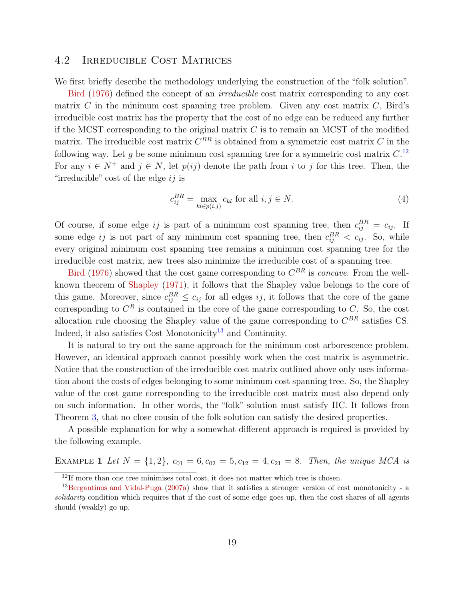## 4.2 Irreducible Cost Matrices

We first briefly describe the methodology underlying the construction of the "folk solution".

Bird (1976) defined the concept of an *irreducible* cost matrix corresponding to any cost matrix  $C$  in the minimum cost spanning tree problem. Given any cost matrix  $C$ , Bird's irreducible cost matrix has the property that the cost of no edge can be reduced any further if the MCST corresponding to the original matrix *C* is to remain an MCST of the modified matrix. The irreducible cost matrix *C BR* is obtained from a symmetric cost matrix *C* in the following way. Let  $g$  be some minimum cost spanning tree for a symmetric cost matrix  $C^{12}$ For any  $i \in N^+$  and  $j \in N$ , let  $p(ij)$  denote the path from *i* to *j* for this tree. Then, the "irreducible" cost of the edge *ij* is

$$
c_{ij}^{BR} = \max_{kl \in p(i,j)} c_{kl} \text{ for all } i, j \in N. \tag{4}
$$

Of course, if some edge *ij* is part of a minimum cost spanning tree, then  $c_{ij}^{BR} = c_{ij}$ . If some edge *ij* is not part of any minimum cost spanning tree, then  $c_{ij}^{BR} < c_{ij}$ . So, while every original minimum cost spanning tree remains a minimum cost spanning tree for the irreducible cost matrix, new trees also minimize the irreducible cost of a spanning tree.

Bird (1976) showed that the cost game corresponding to  $C^{BR}$  is *concave*. From the wellknown theorem of Shapley (1971), it follows that the Shapley value belongs to the core of this game. Moreover, since  $c_{ij}^{BR} \leq c_{ij}$  for all edges *ij*, it follows that the core of the game corresponding to  $C^R$  is contained in the core of the game corresponding to  $C$ . So, the cost allocation rule choosing the Shapley value of the game corresponding to  $C^{BR}$  satisfies CS. Indeed, it also satisfies Cost Monotonicity<sup>13</sup> and Continuity.

It is natural to try out the same approach for the minimum cost arborescence problem. However, an identical approach cannot possibly work when the cost matrix is asymmetric. Notice that the construction of the irreducible cost matrix outlined above only uses information about the costs of edges belonging to some minimum cost spanning tree. So, the Shapley value of the cost game corresponding to the irreducible cost matrix must also depend only on such information. In other words, the "folk" solution must satisfy IIC. It follows from Theorem 3, that no close cousin of the folk solution can satisfy the desired properties.

A possible explanation for why a somewhat different approach is required is provided by the following example.

EXAMPLE 1 Let  $N = \{1, 2\}$ ,  $c_{01} = 6$ ,  $c_{02} = 5$ ,  $c_{12} = 4$ ,  $c_{21} = 8$ . Then, the unique MCA is

 $12$ If more than one tree minimises total cost, it does not matter which tree is chosen.

<sup>&</sup>lt;sup>13</sup>Bergantinos and Vidal-Puga (2007a) show that it satisfies a stronger version of cost monotonicity - a *solidarity* condition which requires that if the cost of some edge goes up, then the cost shares of all agents should (weakly) go up.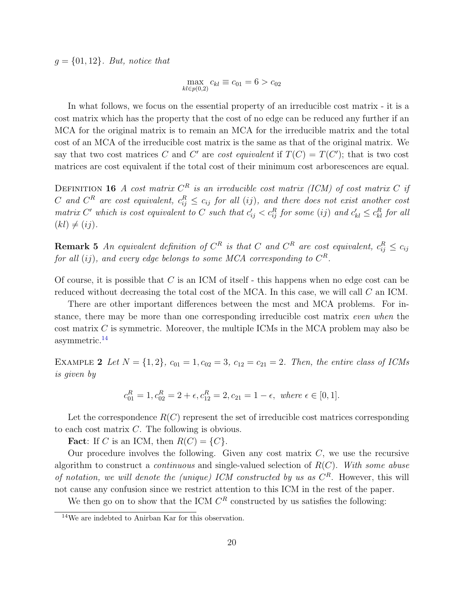*g* = *{*01*,* 12*}. But, notice that*

$$
\max_{kl \in p(0,2)} c_{kl} \equiv c_{01} = 6 > c_{02}
$$

In what follows, we focus on the essential property of an irreducible cost matrix - it is a cost matrix which has the property that the cost of no edge can be reduced any further if an MCA for the original matrix is to remain an MCA for the irreducible matrix and the total cost of an MCA of the irreducible cost matrix is the same as that of the original matrix. We say that two cost matrices *C* and *C'* are *cost equivalent* if  $T(C) = T(C')$ ; that is two cost matrices are cost equivalent if the total cost of their minimum cost arborescences are equal.

DEFINITION 16 *A* cost matrix  $C^R$  is an irreducible cost matrix (ICM) of cost matrix C if *C* and  $C^R$  are cost equivalent,  $c_{ij}^R \le c_{ij}$  for all (*ij*), and there does not exist another cost matrix C' which is cost equivalent to C such that  $c'_{ij} < c_{ij}^R$  for some (ij) and  $c'_{kl} \leq c_{kl}^R$  for all  $(kl) \neq (ij)$ .

**Remark** 5 *An equivalent definition of*  $C^R$  *is that*  $C$  *and*  $C^R$  *are cost equivalent,*  $c_{ij}^R \le c_{ij}$ *for all* (*ij*), and every edge belongs to some MCA corresponding to  $C^R$ .

Of course, it is possible that *C* is an ICM of itself - this happens when no edge cost can be reduced without decreasing the total cost of the MCA. In this case, we will call *C* an ICM.

There are other important differences between the mcst and MCA problems. For instance, there may be more than one corresponding irreducible cost matrix *even when* the cost matrix *C* is symmetric. Moreover, the multiple ICMs in the MCA problem may also be asymmetric.<sup>14</sup>

EXAMPLE 2 Let  $N = \{1, 2\}$ ,  $c_{01} = 1$ ,  $c_{02} = 3$ ,  $c_{12} = c_{21} = 2$ . Then, the entire class of ICMs *is given by*

$$
c_{01}^R = 1, c_{02}^R = 2 + \epsilon, c_{12}^R = 2, c_{21} = 1 - \epsilon, where \epsilon \in [0, 1].
$$

Let the correspondence  $R(C)$  represent the set of irreducible cost matrices corresponding to each cost matrix *C*. The following is obvious.

**Fact**: If *C* is an ICM, then  $R(C) = \{C\}$ .

Our procedure involves the following. Given any cost matrix *C*, we use the recursive algorithm to construct a *continuous* and single-valued selection of *R*(*C*). *With some abuse of notation, we will denote the (unique) ICM constructed by us as*  $C<sup>R</sup>$ . However, this will not cause any confusion since we restrict attention to this ICM in the rest of the paper.

We then go on to show that the ICM  $C<sup>R</sup>$  constructed by us satisfies the following:

 $14$ We are indebted to Anirban Kar for this observation.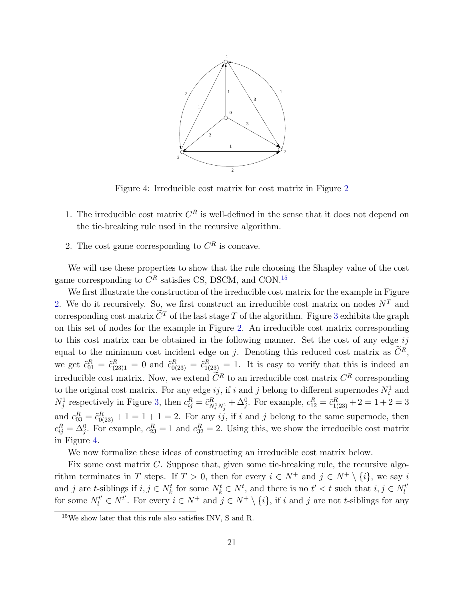

Figure 4: Irreducible cost matrix for cost matrix in Figure 2

- 1. The irreducible cost matrix  $C<sup>R</sup>$  is well-defined in the sense that it does not depend on the tie-breaking rule used in the recursive algorithm.
- 2. The cost game corresponding to  $C<sup>R</sup>$  is concave.

We will use these properties to show that the rule choosing the Shapley value of the cost game corresponding to  $C^R$  satisfies CS, DSCM, and CON.<sup>15</sup>

We first illustrate the construction of the irreducible cost matrix for the example in Figure 2. We do it recursively. So, we first construct an irreducible cost matrix on nodes  $N<sup>T</sup>$  and corresponding cost matrix  $\tilde{C}^T$  of the last stage T of the algorithm. Figure 3 exhibits the graph on this set of nodes for the example in Figure 2. An irreducible cost matrix corresponding to this cost matrix can be obtained in the following manner. Set the cost of any edge *ij* equal to the minimum cost incident edge on *j*. Denoting this reduced cost matrix as  $\tilde{C}^R$ , we get  $\tilde{c}_{01}^R = \tilde{c}_{(23)1}^R = 0$  and  $\tilde{c}_{0(23)}^R = \tilde{c}_{1(23)}^R = 1$ . It is easy to verify that this is indeed an irreducible cost matrix. Now, we extend  $\tilde{C}^R$  to an irreducible cost matrix  $C^R$  corresponding to the original cost matrix. For any edge  $ij$ , if  $i$  and  $j$  belong to different supernodes  $N_i^1$  and  $N_j^1$  respectively in Figure 3, then  $c_{ij}^R = \tilde{c}_{N_i^1 N_j^1}^R + \Delta_j^0$ . For example,  $c_{12}^R = \tilde{c}_{1(23)}^R + 2 = 1 + 2 = 3$ and  $c_{03}^R = \tilde{c}_{0(23)}^R + 1 = 1 + 1 = 2$ . For any *ij*, if *i* and *j* belong to the same supernode, then  $c_{ij}^R = \Delta_{j}^0$ . For example,  $c_{23}^R = 1$  and  $c_{32}^R = 2$ . Using this, we show the irreducible cost matrix in Figure 4.

We now formalize these ideas of constructing an irreducible cost matrix below.

Fix some cost matrix *C*. Suppose that, given some tie-breaking rule, the recursive algorithm terminates in *T* steps. If  $T > 0$ , then for every  $i \in N^+$  and  $j \in N^+ \setminus \{i\}$ , we say *i* and j are t-siblings if  $i, j \in N_k^t$  for some  $N_k^t \in N^t$ , and there is no  $t' < t$  such that  $i, j \in N_l^{t'}$ for some  $N_l^{t'} \in N^{t'}$ . For every  $i \in N^+$  and  $j \in N^+ \setminus \{i\}$ , if i and j are not t-siblings for any

<sup>15</sup>We show later that this rule also satisfies INV, S and R.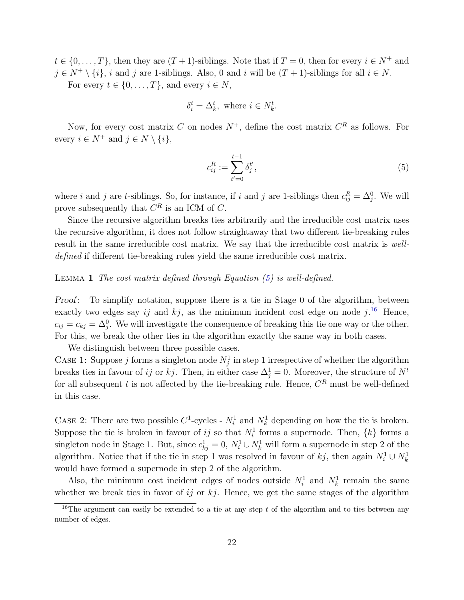$t \in \{0, \ldots, T\}$ , then they are  $(T + 1)$ -siblings. Note that if  $T = 0$ , then for every  $i \in N^+$  and  $j \in N^+ \setminus \{i\}$ , *i* and *j* are 1-siblings. Also, 0 and *i* will be  $(T + 1)$ -siblings for all  $i \in N$ .

For every  $t \in \{0, \ldots, T\}$ , and every  $i \in N$ ,

$$
\delta_i^t = \Delta_k^t, \text{ where } i \in N_k^t.
$$

Now, for every cost matrix *C* on nodes  $N^+$ , define the cost matrix  $C^R$  as follows. For every  $i \in N^+$  and  $j \in N \setminus \{i\},\$ 

$$
c_{ij}^R := \sum_{t'=0}^{t-1} \delta_j^{t'},\tag{5}
$$

where *i* and *j* are *t*-siblings. So, for instance, if *i* and *j* are 1-siblings then  $c_{ij}^R = \Delta_j^0$ . We will prove subsequently that  $C^R$  is an ICM of  $C$ .

Since the recursive algorithm breaks ties arbitrarily and the irreducible cost matrix uses the recursive algorithm, it does not follow straightaway that two different tie-breaking rules result in the same irreducible cost matrix. We say that the irreducible cost matrix is *welldefined* if different tie-breaking rules yield the same irreducible cost matrix.

#### Lemma **1** *The cost matrix defined through Equation (5) is well-defined.*

*Proof* : To simplify notation, suppose there is a tie in Stage 0 of the algorithm, between exactly two edges say  $ij$  and  $kj$ , as the minimum incident cost edge on node  $j$ .<sup>16</sup> Hence,  $c_{ij} = c_{kj} = \Delta_j^0$ . We will investigate the consequence of breaking this tie one way or the other. For this, we break the other ties in the algorithm exactly the same way in both cases.

We distinguish between three possible cases.

CASE 1: Suppose *j* forms a singleton node  $N_j^1$  in step 1 irrespective of whether the algorithm breaks ties in favour of *ij* or *kj*. Then, in either case  $\Delta_j^1 = 0$ . Moreover, the structure of  $N^t$ for all subsequent *t* is not affected by the tie-breaking rule. Hence,  $C<sup>R</sup>$  must be well-defined in this case.

CASE 2: There are two possible  $C^1$ -cycles -  $N_i^1$  and  $N_k^1$  depending on how the tie is broken. Suppose the tie is broken in favour of *ij* so that  $N_i^1$  forms a supernode. Then,  $\{k\}$  forms a singleton node in Stage 1. But, since  $c_{kj}^1 = 0$ ,  $N_i^1 \cup N_k^1$  will form a supernode in step 2 of the algorithm. Notice that if the tie in step 1 was resolved in favour of  $kj$ , then again  $N_i^1 \cup N_k^1$ would have formed a supernode in step 2 of the algorithm.

Also, the minimum cost incident edges of nodes outside  $N_i^1$  and  $N_k^1$  remain the same whether we break ties in favor of *ij* or *kj*. Hence, we get the same stages of the algorithm

<sup>16</sup>The argument can easily be extended to a tie at any step *t* of the algorithm and to ties between any number of edges.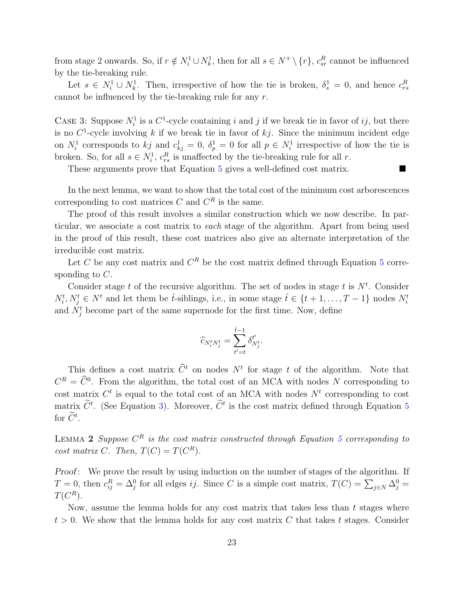from stage 2 onwards. So, if  $r \notin N_i^1 \cup N_k^1$ , then for all  $s \in N^+ \setminus \{r\}$ ,  $c_{sr}^R$  cannot be influenced by the tie-breaking rule.

Let  $s \in N_i^1 \cup N_k^1$ . Then, irrespective of how the tie is broken,  $\delta_s^1 = 0$ , and hence  $c_{rs}^R$ cannot be influenced by the tie-breaking rule for any *r*.

CASE 3: Suppose  $N_i^1$  is a  $C^1$ -cycle containing *i* and *j* if we break tie in favor of *ij*, but there is no  $C^1$ -cycle involving k if we break tie in favor of  $kj$ . Since the minimum incident edge on  $N_i^1$  corresponds to  $kj$  and  $c_{kj}^1 = 0$ ,  $\delta_p^1 = 0$  for all  $p \in N_i^1$  irrespective of how the tie is broken. So, for all  $s \in N_i^1$ ,  $c_{rs}^R$  is unaffected by the tie-breaking rule for all *r*.

These arguments prove that Equation 5 gives a well-defined cost matrix.

In the next lemma, we want to show that the total cost of the minimum cost arborescences corresponding to cost matrices  $C$  and  $C<sup>R</sup>$  is the same.

The proof of this result involves a similar construction which we now describe. In particular, we associate a cost matrix to *each* stage of the algorithm. Apart from being used in the proof of this result, these cost matrices also give an alternate interpretation of the irreducible cost matrix.

Let *C* be any cost matrix and  $C<sup>R</sup>$  be the cost matrix defined through Equation 5 corresponding to *C*.

Consider stage  $t$  of the recursive algorithm. The set of nodes in stage  $t$  is  $N^t$ . Consider  $N_i^t, N_j^t \in N^t$  and let them be  $\hat{t}$ -siblings, i.e., in some stage  $\hat{t} \in \{t+1,\ldots,T-1\}$  nodes  $N_i^t$ and  $N_f^t$  become part of the same supernode for the first time. Now, define

$$
\widehat{c}_{N_i^t N_j^t} = \sum_{t'=t}^{\hat{t}-1} \delta_{N_j^t}^{t'}.
$$

This defines a cost matrix  $\hat{C}^t$  on nodes  $N^t$  for stage *t* of the algorithm. Note that  $C<sup>R</sup> = \tilde{C}<sup>0</sup>$ . From the algorithm, the total cost of an MCA with nodes *N* corresponding to cost matrix  $C<sup>t</sup>$  is equal to the total cost of an MCA with nodes  $N<sup>t</sup>$  corresponding to cost matrix  $\tilde{C}^t$ . (See Equation 3). Moreover,  $\tilde{C}^t$  is the cost matrix defined through Equation 5 for  $C^t$ .

Lemma **2** *Suppose C <sup>R</sup> is the cost matrix constructed through Equation 5 corresponding to cost matrix C. Then,*  $T(C) = T(C^R)$ *.* 

*Proof*: We prove the result by using induction on the number of stages of the algorithm. If  $T = 0$ , then  $c_{ij}^R = \Delta_j^0$  for all edges *ij*. Since *C* is a simple cost matrix,  $T(C) = \sum_{j \in N} \Delta_j^0 =$  $T(C^R)$ .

Now, assume the lemma holds for any cost matrix that takes less than *t* stages where  $t > 0$ . We show that the lemma holds for any cost matrix C that takes t stages. Consider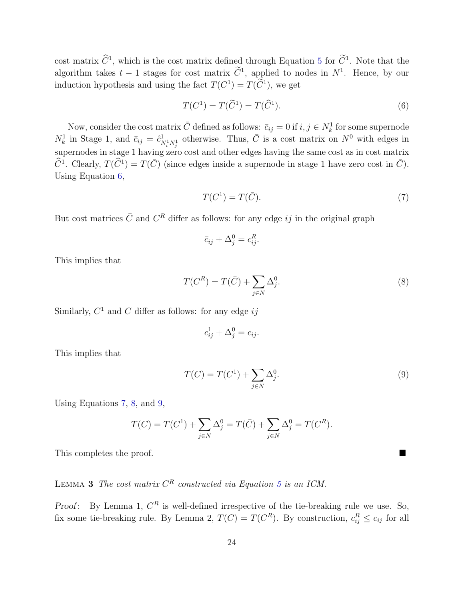cost matrix  $\widehat{C}^1$ , which is the cost matrix defined through Equation 5 for  $\widehat{C}^1$ . Note that the algorithm takes  $t-1$  stages for cost matrix  $C^1$ , applied to nodes in  $N^1$ . Hence, by our induction hypothesis and using the fact  $T(C^1) = T(\tilde{C}^1)$ , we get

$$
T(C1) = T(\widetilde{C}1) = T(\widehat{C}1).
$$
\n(6)

Now, consider the cost matrix  $\bar{C}$  defined as follows:  $\bar{c}_{ij} = 0$  if  $i, j \in N_k^1$  for some supernode  $N_k^1$  in Stage 1, and  $\bar{c}_{ij} = \hat{c}_{N_i^1 N_j^1}^1$  otherwise. Thus,  $\bar{C}$  is a cost matrix on  $N^0$  with edges in supernodes in stage 1 having zero cost and other edges having the same cost as in cost matrix  $\hat{C}^1$ . Clearly,  $T(\hat{C}^1) = T(\bar{C})$  (since edges inside a supernode in stage 1 have zero cost in  $\bar{C}$ ). Using Equation 6,

$$
T(C^1) = T(\bar{C}).\tag{7}
$$

But cost matrices  $\bar{C}$  and  $C^R$  differ as follows: for any edge *ij* in the original graph

$$
\bar{c}_{ij} + \Delta_j^0 = c_{ij}^R.
$$

This implies that

$$
T(C^R) = T(\bar{C}) + \sum_{j \in N} \Delta_j^0.
$$
\n
$$
(8)
$$

Similarly, *C* <sup>1</sup> and *C* differ as follows: for any edge *ij*

$$
c_{ij}^1 + \Delta_j^0 = c_{ij}.
$$

This implies that

$$
T(C) = T(C1) + \sum_{j \in N} \Delta_j^0.
$$
 (9)

Using Equations 7, 8, and 9,

$$
T(C) = T(C1) + \sum_{j \in N} \Delta_j^0 = T(\bar{C}) + \sum_{j \in N} \Delta_j^0 = T(C^R).
$$

This completes the proof.

Lemma **3** *The cost matrix C <sup>R</sup> constructed via Equation 5 is an ICM.*

*Proof*: By Lemma 1,  $C^R$  is well-defined irrespective of the tie-breaking rule we use. So, fix some tie-breaking rule. By Lemma 2,  $T(C) = T(C^R)$ . By construction,  $c_{ij}^R \le c_{ij}$  for all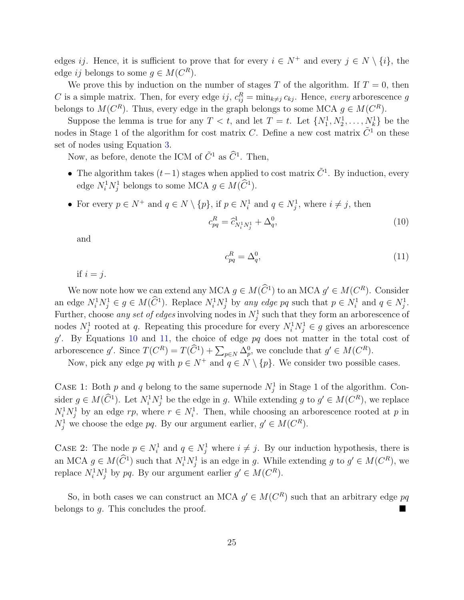edges *ij*. Hence, it is sufficient to prove that for every  $i \in N^+$  and every  $j \in N \setminus \{i\}$ , the edge *ij* belongs to some  $g \in M(C^R)$ .

We prove this by induction on the number of stages  $T$  of the algorithm. If  $T = 0$ , then *C* is a simple matrix. Then, for every edge *ij*,  $c_{ij}^R = \min_{k \neq j} c_{kj}$ . Hence, *every* arborescence *g* belongs to  $M(C^R)$ . Thus, every edge in the graph belongs to some MCA  $g \in M(C^R)$ .

Suppose the lemma is true for any  $T < t$ , and let  $T = t$ . Let  $\{N_1^1, N_2^1, \ldots, N_k^1\}$  be the nodes in Stage 1 of the algorithm for cost matrix *C*. Define a new cost matrix  $\tilde{C}^1$  on these set of nodes using Equation 3.

Now, as before, denote the ICM of  $\tilde{C}^1$  as  $\hat{C}^1$ . Then,

- The algorithm takes  $(t-1)$  stages when applied to cost matrix  $\tilde{C}^1$ . By induction, every edge  $N_i^1 N_j^1$  belongs to some MCA  $g \in M(\widehat{C}^1)$ .
- For every  $p \in N^+$  and  $q \in N \setminus \{p\}$ , if  $p \in N_i^1$  and  $q \in N_j^1$ , where  $i \neq j$ , then

$$
c_{pq}^R = \hat{c}_{N_i^1 N_j^1}^1 + \Delta_q^0, \tag{10}
$$

and

$$
c_{pq}^R = \Delta_q^0,\tag{11}
$$

if  $i = j$ .

We now note how we can extend any MCA  $g \in M(\widehat{C}^1)$  to an MCA  $g' \in M(C^R)$ . Consider an edge  $N_i^1 N_j^1 \in g \in M(\hat{C}^1)$ . Replace  $N_i^1 N_j^1$  by any edge pq such that  $p \in N_i^1$  and  $q \in N_j^1$ . Further, choose *any set of edges* involving nodes in  $N_j^1$  such that they form an arborescence of nodes  $N_j^1$  rooted at *q*. Repeating this procedure for every  $N_i^1 N_j^1 \in g$  gives an arborescence *g ′* . By Equations 10 and 11, the choice of edge *pq* does not matter in the total cost of arborescence *g*'. Since  $T(C^R) = T(\widehat{C}^1) + \sum_{p \in N} \Delta_p^0$ , we conclude that  $g' \in M(C^R)$ .

Now, pick any edge *pq* with  $p \in N^+$  and  $q \in N \setminus \{p\}$ . We consider two possible cases.

CASE 1: Both *p* and *q* belong to the same supernode  $N_j^1$  in Stage 1 of the algorithm. Consider  $g \in M(\widehat{C}^1)$ . Let  $N_i^1 N_j^1$  be the edge in *g*. While extending *g* to  $g' \in M(C^R)$ , we replace  $N_i^1 N_j^1$  by an edge *rp*, where  $r \in N_i^1$ . Then, while choosing an arborescence rooted at *p* in  $N_j^1$  we choose the edge *pq*. By our argument earlier,  $g' \in M(C^R)$ .

CASE 2: The node  $p \in N_i^1$  and  $q \in N_j^1$  where  $i \neq j$ . By our induction hypothesis, there is an MCA  $g \in M(\widehat{C}^1)$  such that  $N_i^1 N_j^1$  is an edge in *g*. While extending *g* to  $g' \in M(C^R)$ , we replace  $N_i^1 N_j^1$  by  $pq$ . By our argument earlier  $g' \in M(C^R)$ .

So, in both cases we can construct an MCA  $g' \in M(C^R)$  such that an arbitrary edge pq belongs to *g*. This concludes the proof.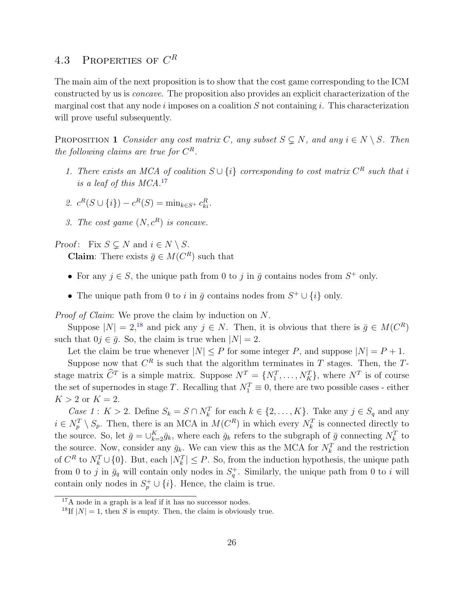# 4.3 Properties of *C R*

The main aim of the next proposition is to show that the cost game corresponding to the ICM constructed by us is *concave*. The proposition also provides an explicit characterization of the marginal cost that any node *i* imposes on a coalition *S* not containing *i*. This characterization will prove useful subsequently.

**PROPOSITION 1** *Consider any cost matrix C, any subset*  $S \subseteq N$ *, and any*  $i \in N \setminus S$ *. Then the following claims are true for C R.*

- *1. There exists an MCA of coalition*  $S \cup \{i\}$  *corresponding to cost matrix*  $C^R$  *such that i is a leaf of this MCA.*<sup>17</sup>
- 2.  $c^R(S \cup \{i\}) c^R(S) = \min_{k \in S^+} c_{ki}^R$ .
- *3. The cost game* (*N, c<sup>R</sup>*) *is concave.*
- *Proof*: Fix  $S \subsetneq N$  and  $i \in N \setminus S$ . **Claim**: There exists  $\bar{g} \in M(C^R)$  such that
	- For any  $j \in S$ , the unique path from 0 to *j* in  $\bar{g}$  contains nodes from  $S^+$  only.
	- The unique path from 0 to *i* in  $\bar{g}$  contains nodes from  $S^+ \cup \{i\}$  only.

*Proof of Claim*: We prove the claim by induction on *N*.

Suppose  $|N| = 2$ ,<sup>18</sup> and pick any  $j \in N$ . Then, it is obvious that there is  $\bar{g} \in M(C^R)$ such that  $0j \in \bar{g}$ . So, the claim is true when  $|N| = 2$ .

Let the claim be true whenever  $|N| \leq P$  for some integer P, and suppose  $|N| = P + 1$ .

Suppose now that  $C^R$  is such that the algorithm terminates in  $T$  stages. Then, the  $T$ stage matrix  $\hat{C}^T$  is a simple matrix. Suppose  $N^T = \{N_1^T, \ldots, N_K^T\}$ , where  $N^T$  is of course the set of supernodes in stage *T*. Recalling that  $N_1^T \equiv 0$ , there are two possible cases - either  $K > 2$  or  $K = 2$ .

*Case 1* :  $K > 2$ . Define  $S_k = S \cap N_k^T$  for each  $k \in \{2, ..., K\}$ . Take any  $j \in S_q$  and any  $i \in N_p^T \setminus S_p$ . Then, there is an MCA in  $M(C^R)$  in which every  $N_k^T$  is connected directly to the source. So, let  $\bar{g} = \bigcup_{k=2}^{K} \bar{g}_k$ , where each  $\bar{g}_k$  refers to the subgraph of  $\bar{g}$  connecting  $N_k^T$  to the source. Now, consider any  $\bar{g}_k$ . We can view this as the MCA for  $N_k^T$  and the restriction of  $C^R$  to  $N_k^T \cup \{0\}$ . But, each  $|N_k^T| \leq P$ . So, from the induction hypothesis, the unique path from 0 to *j* in  $\bar{g}_q$  will contain only nodes in  $S_q^+$ . Similarly, the unique path from 0 to *i* will contain only nodes in  $S_p^+ \cup \{i\}$ . Hence, the claim is true.

<sup>&</sup>lt;sup>17</sup>A node in a graph is a leaf if it has no successor nodes.

<sup>&</sup>lt;sup>18</sup>If  $|N|=1$ , then *S* is empty. Then, the claim is obviously true.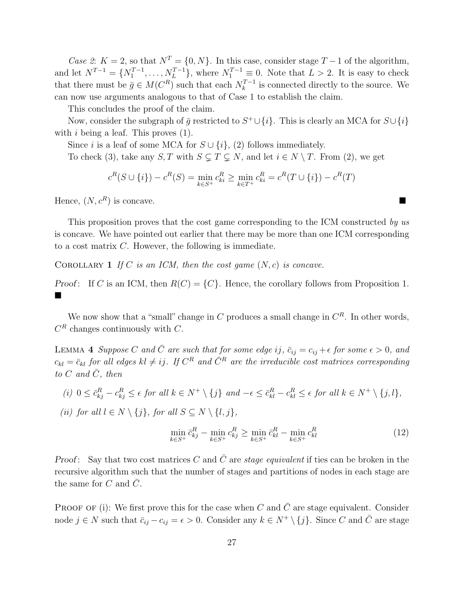*Case 2*:  $K = 2$ , so that  $N^T = \{0, N\}$ . In this case, consider stage  $T - 1$  of the algorithm, and let  $N^{T-1} = \{N_1^{T-1}, \ldots, N_L^{T-1}\}$ , where  $N_1^{T-1} \equiv 0$ . Note that  $L > 2$ . It is easy to check that there must be  $\bar{g} \in M(C^R)$  such that each  $N_k^{T-1}$  $\binom{T-1}{k}$  is connected directly to the source. We can now use arguments analogous to that of Case 1 to establish the claim.

This concludes the proof of the claim.

Now, consider the subgraph of  $\bar{g}$  restricted to  $S^+ \cup \{i\}$ . This is clearly an MCA for  $S \cup \{i\}$ with *i* being a leaf. This proves  $(1)$ .

Since *i* is a leaf of some MCA for  $S \cup \{i\}$ , (2) follows immediately.

To check (3), take any *S*, *T* with  $S \subsetneq T \subsetneq N$ , and let  $i \in N \setminus T$ . From (2), we get

$$
c^{R}(S \cup \{i\}) - c^{R}(S) = \min_{k \in S^{+}} c_{ki}^{R} \ge \min_{k \in T^{+}} c_{ki}^{R} = c^{R}(T \cup \{i\}) - c^{R}(T)
$$

Hence,  $(N, c^R)$  is concave.

This proposition proves that the cost game corresponding to the ICM constructed *by us* is concave. We have pointed out earlier that there may be more than one ICM corresponding to a cost matrix *C*. However, the following is immediate.

COROLLARY **1** If C is an ICM, then the cost game  $(N, c)$  is concave.

*Proof*: If *C* is an ICM, then  $R(C) = \{C\}$ . Hence, the corollary follows from Proposition 1. 

We now show that a "small" change in  $C$  produces a small change in  $C<sup>R</sup>$ . In other words, *C <sup>R</sup>* changes continuously with *C*.

LEMMA 4 *Suppose C* and  $\overline{C}$  are such that for some edge ij,  $\overline{c}_{ij} = c_{ij} + \epsilon$  for some  $\epsilon > 0$ , and  $c_{kl} = \bar{c}_{kl}$  for all edges  $kl \neq ij$ *. If*  $C^R$  and  $\bar{C}^R$  are the irreducible cost matrices corresponding  $to \, C$  *and*  $\bar{C}$ *, then* 

(i) 
$$
0 \leq \bar{c}_{kj}^R - c_{kj}^R \leq \epsilon
$$
 for all  $k \in N^+ \setminus \{j\}$  and  $-\epsilon \leq \bar{c}_{kl}^R - c_{kl}^R \leq \epsilon$  for all  $k \in N^+ \setminus \{j, l\}$ ,

*(ii) for all l*  $\in$  *N*  $\setminus$  {*j*}*, for all S* ⊂ *N*  $\setminus$  {*l, i*}*,* 

$$
\min_{k \in S^{+}} \bar{c}_{kj}^{R} - \min_{k \in S^{+}} c_{kj}^{R} \ge \min_{k \in S^{+}} \bar{c}_{kl}^{R} - \min_{k \in S^{+}} c_{kl}^{R}
$$
\n(12)

*Proof*: Say that two cost matrices C and  $\overline{C}$  are *stage equivalent* if ties can be broken in the recursive algorithm such that the number of stages and partitions of nodes in each stage are the same for *C* and  $\overline{C}$ .

PROOF OF (i): We first prove this for the case when  $C$  and  $\overline{C}$  are stage equivalent. Consider node *j* ∈ *N* such that  $\bar{c}_{ij} - c_{ij} = \epsilon > 0$ . Consider any  $k \in N^+ \setminus \{j\}$ . Since *C* and  $\bar{C}$  are stage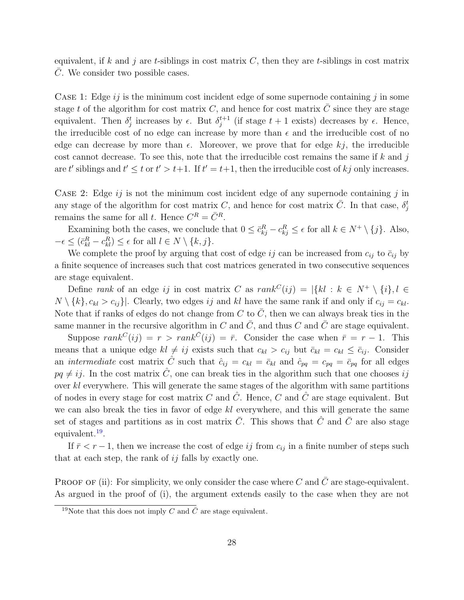equivalent, if  $k$  and  $j$  are  $t$ -siblings in cost matrix  $C$ , then they are  $t$ -siblings in cost matrix *C*. We consider two possible cases.

Case 1: Edge *ij* is the minimum cost incident edge of some supernode containing *j* in some stage  $t$  of the algorithm for cost matrix  $C$ , and hence for cost matrix  $C$  since they are stage equivalent. Then  $\delta_j^t$  increases by  $\epsilon$ . But  $\delta_j^{t+1}$  $j_j^{t+1}$  (if stage  $t+1$  exists) decreases by  $\epsilon$ . Hence, the irreducible cost of no edge can increase by more than  $\epsilon$  and the irreducible cost of no edge can decrease by more than  $\epsilon$ . Moreover, we prove that for edge  $k_j$ , the irreducible cost cannot decrease. To see this, note that the irreducible cost remains the same if *k* and *j* are *t'* siblings and  $t' \leq t$  or  $t' > t+1$ . If  $t' = t+1$ , then the irreducible cost of *kj* only increases.

Case 2: Edge *ij* is not the minimum cost incident edge of any supernode containing *j* in any stage of the algorithm for cost matrix *C*, and hence for cost matrix  $\bar{C}$ . In that case,  $\delta_j^t$ remains the same for all *t*. Hence  $C^R = \overline{C}^R$ .

Examining both the cases, we conclude that  $0 \leq \bar{c}_{kj}^R - c_{kj}^R \leq \epsilon$  for all  $k \in N^+ \setminus \{j\}$ . Also,  $-\epsilon \leq (\bar{c}_{kl}^R - c_{kl}^R) \leq \epsilon \text{ for all } l \in \mathbb{N} \setminus \{k, j\}.$ 

We complete the proof by arguing that cost of edge *ij* can be increased from  $c_{ij}$  to  $\bar{c}_{ij}$  by a finite sequence of increases such that cost matrices generated in two consecutive sequences are stage equivalent.

Define *rank* of an edge *ij* in cost matrix *C* as  $rank^C(ij) = |\{kl : k \in N^+ \setminus \{i\}, l \in \mathbb{R}\}|$  $N \setminus \{k\}, c_{kl} > c_{ij}\}\right]$ . Clearly, two edges *ij* and *kl* have the same rank if and only if  $c_{ij} = c_{kl}$ . Note that if ranks of edges do not change from  $C$  to  $\overline{C}$ , then we can always break ties in the same manner in the recursive algorithm in *C* and  $\overline{C}$ , and thus *C* and  $\overline{C}$  are stage equivalent.

Suppose  $rank^{C}(ij) = r > rank^{C}(ij) = \bar{r}$ . Consider the case when  $\bar{r} = r - 1$ . This means that a unique edge  $kl \neq ij$  exists such that  $c_{kl} > c_{ij}$  but  $\bar{c}_{kl} = c_{kl} \leq \bar{c}_{ij}$ . Consider an *intermediate* cost matrix  $\hat{C}$  such that  $\hat{c}_{ij} = c_{kl} = \bar{c}_{kl}$  and  $\hat{c}_{pq} = c_{pq} = \bar{c}_{pq}$  for all edges  $pq \neq ij$ . In the cost matrix *C*<sup></sup>, one can break ties in the algorithm such that one chooses *i* over *kl* everywhere. This will generate the same stages of the algorithm with same partitions of nodes in every stage for cost matrix *C* and  $\hat{C}$ . Hence, *C* and  $\hat{C}$  are stage equivalent. But we can also break the ties in favor of edge *kl* everywhere, and this will generate the same set of stages and partitions as in cost matrix  $\bar{C}$ . This shows that  $\hat{C}$  and  $\bar{C}$  are also stage equivalent.<sup>19</sup> .

If  $\bar{r} < r - 1$ , then we increase the cost of edge *ij* from  $c_{ij}$  in a finite number of steps such that at each step, the rank of *ij* falls by exactly one.

PROOF OF (ii): For simplicity, we only consider the case where  $C$  and  $\overline{C}$  are stage-equivalent. As argued in the proof of (i), the argument extends easily to the case when they are not

<sup>&</sup>lt;sup>19</sup>Note that this does not imply *C* and  $\overline{C}$  are stage equivalent.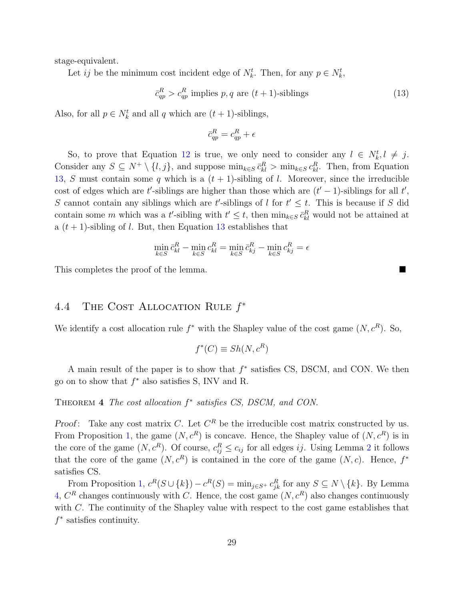stage-equivalent.

Let *ij* be the minimum cost incident edge of  $N_k^t$ . Then, for any  $p \in N_k^t$ ,

$$
\bar{c}_{qp}^R > c_{qp}^R \text{ implies } p, q \text{ are } (t+1)\text{-siblings} \tag{13}
$$

Also, for all  $p \in N_k^t$  and all  $q$  which are  $(t + 1)$ -siblings,

$$
\bar{c}_{qp}^R = c_{qp}^R + \epsilon
$$

So, to prove that Equation 12 is true, we only need to consider any  $l \in N_k^t$ ,  $l \neq j$ . Consider any  $S \subseteq N^+ \setminus \{l, j\}$ , and suppose  $\min_{k \in S} \bar{c}_{kl}^R > \min_{k \in S} c_{kl}^R$ . Then, from Equation 13, *S* must contain some *q* which is a  $(t + 1)$ -sibling of *l*. Moreover, since the irreducible cost of edges which are *t'*-siblings are higher than those which are  $(t'-1)$ -siblings for all *t'*, *S* cannot contain any siblings which are *t*'-siblings of *l* for  $t' \leq t$ . This is because if *S* did contain some *m* which was a *t*'-sibling with  $t' \leq t$ , then  $\min_{k \in S} \bar{c}_{kl}^R$  would not be attained at a  $(t + 1)$ -sibling of *l*. But, then Equation 13 establishes that

$$
\min_{k \in S} \bar{c}_{kl}^R - \min_{k \in S} c_{kl}^R = \min_{k \in S} \bar{c}_{kj}^R - \min_{k \in S} c_{kj}^R = \epsilon
$$

This completes the proof of the lemma.

# 4.4 The Cost Allocation Rule *f ∗*

We identify a cost allocation rule  $f^*$  with the Shapley value of the cost game  $(N, c^R)$ . So,

$$
f^*(C) \equiv Sh(N, c^R)
$$

A main result of the paper is to show that *f ∗* satisfies CS, DSCM, and CON. We then go on to show that *f <sup>∗</sup>* also satisfies S, INV and R.

Theorem **4** *The cost allocation f ∗ satisfies CS, DSCM, and CON.*

*Proof*: Take any cost matrix *C*. Let  $C^R$  be the irreducible cost matrix constructed by us. From Proposition 1, the game  $(N, c^R)$  is concave. Hence, the Shapley value of  $(N, c^R)$  is in the core of the game  $(N, c^R)$ . Of course,  $c_{ij}^R \le c_{ij}$  for all edges *ij*. Using Lemma 2 it follows that the core of the game  $(N, c^R)$  is contained in the core of the game  $(N, c)$ . Hence,  $f^*$ satisfies CS.

From Proposition 1,  $c^R(S \cup \{k\}) - c^R(S) = \min_{j \in S^+} c_{jk}^R$  for any  $S \subseteq N \setminus \{k\}$ . By Lemma 4,  $C^R$  changes continuously with *C*. Hence, the cost game  $(N, c^R)$  also changes continuously with *C*. The continuity of the Shapley value with respect to the cost game establishes that *f ∗* satisfies continuity.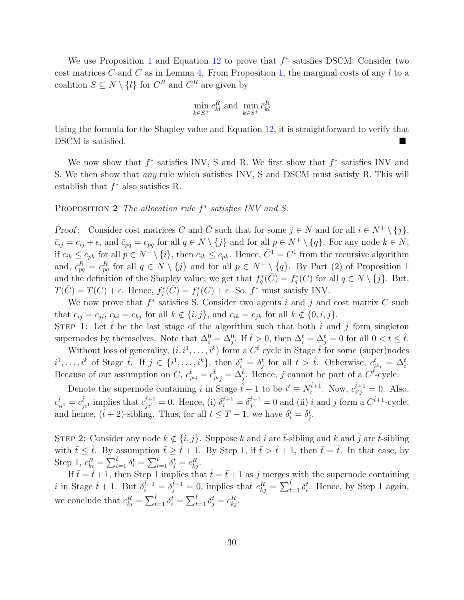We use Proposition 1 and Equation 12 to prove that *f ∗* satisfies DSCM. Consider two cost matrices C and  $\overline{C}$  as in Lemma 4. From Proposition 1, the marginal costs of any l to a coalition  $S \subseteq N \setminus \{l\}$  for  $C^R$  and  $\overline{C}^R$  are given by

$$
\min_{k \in S^+} c_{kl}^R \text{ and } \min_{k \in S^+} \bar{c}_{kl}^R
$$

Using the formula for the Shapley value and Equation 12, it is straightforward to verify that DSCM is satisfied.

We now show that *f ∗* satisfies INV, S and R. We first show that *f ∗* satisfies INV and S. We then show that *any* rule which satisfies INV, S and DSCM must satisfy R. This will establish that *f <sup>∗</sup>* also satisfies R.

## Proposition **2** *The allocation rule f ∗ satisfies INV and S.*

*Proof*: Consider cost matrices *C* and  $\overline{C}$  such that for some  $j \in N$  and for all  $i \in N^+ \setminus \{j\}$ ,  $\overline{c}_{ij} = c_{ij} + \epsilon$ , and  $\overline{c}_{pq} = c_{pq}$  for all  $q \in N \setminus \{j\}$  and for all  $p \in N^+ \setminus \{q\}$ . For any node  $k \in N$ , if  $c_{ik} \leq c_{pk}$  for all  $p \in N^+ \setminus \{i\}$ , then  $\bar{c}_{ik} \leq c_{pk}$ . Hence,  $\bar{C}^1 = C^1$  from the recursive algorithm and,  $\bar{c}_{pq}^R = c_{pq}^R$  for all  $q \in N \setminus \{j\}$  and for all  $p \in N^+ \setminus \{q\}$ . By Part (2) of Proposition 1 and the definition of the Shapley value, we get that  $f_q^*(\bar{C}) = f_q^*(C)$  for all  $q \in N \setminus \{j\}$ . But,  $T(\bar{C}) = T(C) + \epsilon$ . Hence,  $f_j^*(\bar{C}) = f_j^*(C) + \epsilon$ . So,  $f^*$  must satisfy INV.

We now prove that *f ∗* satisfies S. Consider two agents *i* and *j* and cost matrix *C* such that  $c_{ij} = c_{ji}$ ,  $c_{ki} = c_{kj}$  for all  $k \notin \{i, j\}$ , and  $c_{ik} = c_{jk}$  for all  $k \notin \{0, i, j\}$ .

STEP 1: Let  $\hat{t}$  be the last stage of the algorithm such that both  $i$  and  $j$  form singleton supernodes by themselves. Note that  $\Delta_i^0 = \Delta_j^0$ . If  $\hat{t} > 0$ , then  $\Delta_i^t = \Delta_j^t = 0$  for all  $0 < t \leq \hat{t}$ . Without loss of generality,  $(i, i^1, \ldots, i^k)$  form a  $C^{\hat{t}}$  cycle in Stage  $\hat{t}$  for some (super)nodes

 $i^1,\ldots,i^k$  of Stage  $\hat{t}$ . If  $j \in \{i^1,\ldots,i^k\}$ , then  $\delta_i^t = \delta_j^t$  for all  $t > \hat{t}$ . Otherwise,  $c_{i^j}$  $\frac{\hat{t}}{i^k i} = \Delta_i^{\hat{t}}.$ Because of our assumption on *C*,  $c_{i}^{\hat{t}}$  $\frac{\hat{t}}{i^k i} = c^{\hat{t}}_{i^l}$  $\hat{t}_{i^k j} = \Delta_j^{\hat{t}}$ . Hence, *j* cannot be part of a  $C^{\hat{t}}$ -cycle.

Denote the supernode containing *i* in Stage  $\hat{t} + 1$  to be  $i' \equiv N_i^{\hat{t}+1}$  $\hat{t}^{i+1}$ . Now,  $c_{i'j}^{i+1}$  $i'_{i'j} = 0$ . Also,  $c_{ii}^{\hat{t}} = c_{ji}^{\hat{t}}$  implies that  $c_{ji'}^{\hat{t}+1} = 0$ . Hence, (i)  $\delta_i^{\hat{t}+1} = \delta_j^{\hat{t}+1} = 0$  and (ii) i and j form a  $C^{\hat{t}+1}$ -cycle, and hence,  $(\hat{t} + 2)$ -sibling. Thus, for all  $t \leq T - 1$ , we have  $\delta_i^t = \delta_j^t$ .

STEP 2: Consider any node  $k \notin \{i, j\}$ . Suppose *k* and *i* are  $\overline{t}$ -sibling and *k* and *j* are  $\overline{t}$ -sibling with  $\bar{t} \leq \tilde{t}$ . By assumption  $\bar{t} \geq \hat{t} + 1$ . By Step 1, if  $\bar{t} > \hat{t} + 1$ , then  $\bar{t} = \tilde{t}$ . In that case, by Step 1,  $c_{ki}^R = \sum_{t=1}^{\bar{t}} \delta_i^t = \sum_{t=1}^{\tilde{t}} \delta_j^t = c_{kj}^R$ .

If  $\bar{t} = \hat{t} + 1$ , then Step 1 implies that  $\tilde{t} = \bar{t} + 1$  as *j* merges with the supernode containing *i* in Stage  $\hat{t} + 1$ . But  $\delta_i^{\hat{t}+1} = \delta_j^{\hat{t}+1} = 0$ , implies that  $c_{kj}^R = \sum_{t=1}^{\hat{t}} \delta_i^t$ . Hence, by Step 1 again, we conclude that  $c_{ki}^R = \sum_{t=1}^{\hat{t}} \delta_i^t = \sum_{t=1}^{\hat{t}} \delta_j^t = c_{kj}^R$ .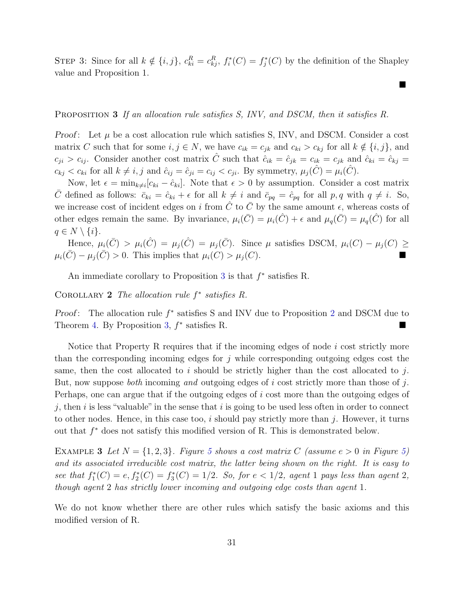STEP 3: Since for all  $k \notin \{i, j\}$ ,  $c_{ki}^R = c_{kj}^R$ ,  $f_i^*(C) = f_j^*(C)$  by the definition of the Shapley value and Proposition 1.

Proposition **3** *If an allocation rule satisfies S, INV, and DSCM, then it satisfies R.*

*Proof*: Let  $\mu$  be a cost allocation rule which satisfies S, INV, and DSCM. Consider a cost matrix *C* such that for some  $i, j \in N$ , we have  $c_{ik} = c_{jk}$  and  $c_{ki} > c_{kj}$  for all  $k \notin \{i, j\}$ , and  $c_{ji} > c_{ij}$ . Consider another cost matrix  $\hat{C}$  such that  $\hat{c}_{ik} = \hat{c}_{jk} = c_{ik} = c_{jk}$  and  $\hat{c}_{ki} = \hat{c}_{kj}$  $c_{kj} < c_{ki}$  for all  $k \neq i, j$  and  $\hat{c}_{ij} = \hat{c}_{ji} = c_{ij} < c_{ji}$ . By symmetry,  $\mu_j(\hat{C}) = \mu_i(\hat{C})$ .

Now, let  $\epsilon = \min_{k \neq i} [c_{ki} - \hat{c}_{ki}]$ . Note that  $\epsilon > 0$  by assumption. Consider a cost matrix  $\overline{C}$  defined as follows:  $\overline{c}_{ki} = \hat{c}_{ki} + \epsilon$  for all  $k \neq i$  and  $\overline{c}_{pq} = \hat{c}_{pq}$  for all  $p, q$  with  $q \neq i$ . So, we increase cost of incident edges on *i* from  $\hat{C}$  to  $\overline{C}$  by the same amount  $\epsilon$ , whereas costs of other edges remain the same. By invariance,  $\mu_i(\bar{C}) = \mu_i(\hat{C}) + \epsilon$  and  $\mu_q(\bar{C}) = \mu_q(\hat{C})$  for all *q* ∈ *N*  $\setminus$  {*i*}.

Hence,  $\mu_i(\bar{C}) > \mu_i(\hat{C}) = \mu_j(\bar{C}) = \mu_j(\bar{C})$ . Since  $\mu$  satisfies DSCM,  $\mu_i(C) - \mu_j(C) \ge$  $\mu_i(\bar{C}) - \mu_j(\bar{C}) > 0$ . This implies that  $\mu_i(C) > \mu_j(C)$ .

An immediate corollary to Proposition 3 is that *f ∗* satisfies R.

Corollary **2** *The allocation rule f ∗ satisfies R.*

*Proof*: The allocation rule  $f^*$  satisfies S and INV due to Proposition 2 and DSCM due to Theorem 4. By Proposition 3,  $f^*$  satisfies R.

Notice that Property R requires that if the incoming edges of node *i* cost strictly more than the corresponding incoming edges for *j* while corresponding outgoing edges cost the same, then the cost allocated to *i* should be strictly higher than the cost allocated to *j*. But, now suppose *both* incoming *and* outgoing edges of *i* cost strictly more than those of *j*. Perhaps, one can argue that if the outgoing edges of *i* cost more than the outgoing edges of *j*, then *i* is less "valuable" in the sense that *i* is going to be used less often in order to connect to other nodes. Hence, in this case too, *i* should pay strictly more than *j*. However, it turns out that *f <sup>∗</sup>* does not satisfy this modified version of R. This is demonstrated below.

EXAMPLE 3 Let  $N = \{1, 2, 3\}$ . Figure 5 shows a cost matrix C (assume  $e > 0$  in Figure 5) *and its associated irreducible cost matrix, the latter being shown on the right. It is easy to* see that  $f_1^*(C) = e, f_2^*(C) = f_3^*(C) = 1/2$ . So, for  $e < 1/2$ , agent 1 pays less than agent 2, *though agent* 2 *has strictly lower incoming and outgoing edge costs than agent* 1*.*

We do not know whether there are other rules which satisfy the basic axioms and this modified version of R.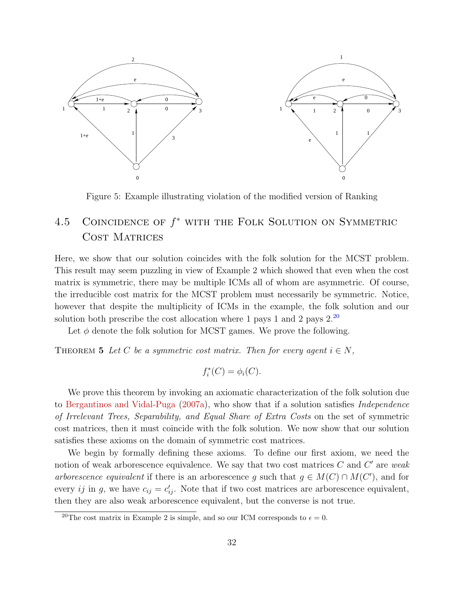

Figure 5: Example illustrating violation of the modified version of Ranking

# 4.5 Coincidence of *f <sup>∗</sup>* with the Folk Solution on Symmetric COST MATRICES

Here, we show that our solution coincides with the folk solution for the MCST problem. This result may seem puzzling in view of Example 2 which showed that even when the cost matrix is symmetric, there may be multiple ICMs all of whom are asymmetric. Of course, the irreducible cost matrix for the MCST problem must necessarily be symmetric. Notice, however that despite the multiplicity of ICMs in the example, the folk solution and our solution both prescribe the cost allocation where 1 pays 1 and 2 pays  $2^{20}$ 

Let  $\phi$  denote the folk solution for MCST games. We prove the following.

THEOREM **5** Let C be a symmetric cost matrix. Then for every agent  $i \in N$ ,

$$
f_i^*(C) = \phi_i(C).
$$

We prove this theorem by invoking an axiomatic characterization of the folk solution due to Bergantinos and Vidal-Puga (2007a), who show that if a solution satisfies *Independence of Irrelevant Trees, Separability, and Equal Share of Extra Costs* on the set of symmetric cost matrices, then it must coincide with the folk solution. We now show that our solution satisfies these axioms on the domain of symmetric cost matrices.

We begin by formally defining these axioms. To define our first axiom, we need the notion of weak arborescence equivalence. We say that two cost matrices *C* and *C ′* are *weak arborescence equivalent* if there is an arborescence *g* such that  $g \in M(C) \cap M(C')$ , and for every *ij* in *g*, we have  $c_{ij} = c'_{ij}$ . Note that if two cost matrices are arborescence equivalent, then they are also weak arborescence equivalent, but the converse is not true.

<sup>&</sup>lt;sup>20</sup>The cost matrix in Example 2 is simple, and so our ICM corresponds to  $\epsilon = 0$ .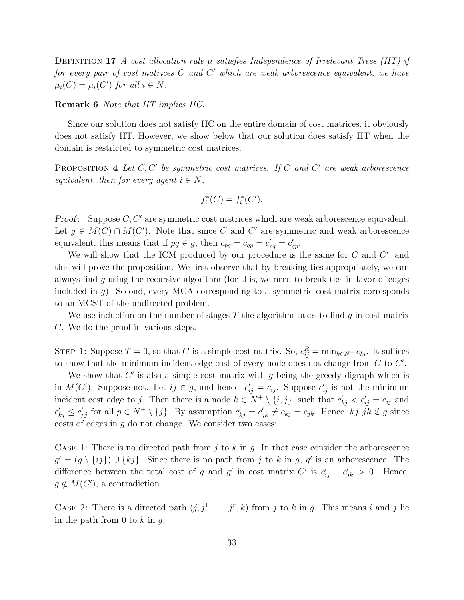Definition **17** *A cost allocation rule µ satisfies Independence of Irrelevant Trees (IIT) if for every pair of cost matrices C and C ′ which are weak arborescence equivalent, we have*  $\mu_i(C) = \mu_i(C')$  *for all*  $i \in N$ *.* 

**Remark 6** *Note that IIT implies IIC.*

Since our solution does not satisfy IIC on the entire domain of cost matrices, it obviously does not satisfy IIT. However, we show below that our solution does satisfy IIT when the domain is restricted to symmetric cost matrices.

Proposition **4** *Let C, C′ be symmetric cost matrices. If C and C ′ are weak arborescence equivalent, then for every agent*  $i \in N$ *,* 

$$
f_i^*(C) = f_i^*(C').
$$

*Proof*: Suppose *C*, *C'* are symmetric cost matrices which are weak arborescence equivalent. Let  $g \in M(C) \cap M(C')$ . Note that since *C* and *C'* are symmetric and weak arborescence equivalent, this means that if  $pq \in g$ , then  $c_{pq} = c_{qp} = c'_{pq} = c'_{qp}$ .

We will show that the ICM produced by our procedure is the same for *C* and *C ′* , and this will prove the proposition. We first observe that by breaking ties appropriately, we can always find *g* using the recursive algorithm (for this, we need to break ties in favor of edges included in *g*). Second, every MCA corresponding to a symmetric cost matrix corresponds to an MCST of the undirected problem.

We use induction on the number of stages *T* the algorithm takes to find *g* in cost matrix *C*. We do the proof in various steps.

STEP 1: Suppose  $T = 0$ , so that *C* is a simple cost matrix. So,  $c_{ij}^R = \min_{k \in N^+} c_{ki}$ . It suffices to show that the minimum incident edge cost of every node does not change from *C* to *C ′* .

We show that  $C'$  is also a simple cost matrix with  $g$  being the greedy digraph which is in  $M(C')$ . Suppose not. Let  $ij \in g$ , and hence,  $c'_{ij} = c_{ij}$ . Suppose  $c'_{ij}$  is not the minimum incident cost edge to *j*. Then there is a node  $k \in N^+ \setminus \{i, j\}$ , such that  $c'_{kj} < c'_{ij} = c_{ij}$  and  $c'_{kj} \leq c'_{pj}$  for all  $p \in N^+ \setminus \{j\}$ . By assumption  $c'_{kj} = c'_{jk} \neq c_{kj} = c_{jk}$ . Hence,  $kj, jk \notin g$  since costs of edges in *g* do not change. We consider two cases:

Case 1: There is no directed path from *j* to *k* in *g*. In that case consider the arborescence *g*<sup> $′$ </sup> = (*g*  $\setminus$  {*ij*}) *∪* {*kj*}. Since there is no path from *j* to *k* in *g*, *g*<sup> $′$ </sup> is an arborescence. The difference between the total cost of *g* and *g*' in cost matrix *C*' is  $c'_{ij} - c'_{jk} > 0$ . Hence,  $g \notin M(C')$ , a contradiction.

CASE 2: There is a directed path  $(j, j^1, \ldots, j^r, k)$  from *j* to *k* in *g*. This means *i* and *j* lie in the path from 0 to *k* in *g*.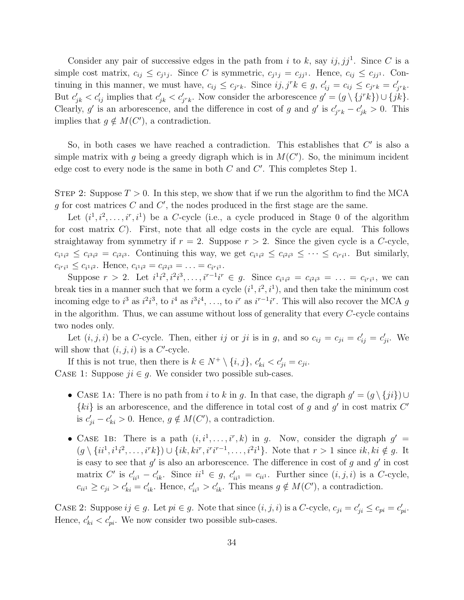Consider any pair of successive edges in the path from *i* to *k*, say  $ij, jj^1$ . Since *C* is a simple cost matrix,  $c_{ij} \leq c_{j}$ , Since *C* is symmetric,  $c_{j}$ ,  $j = c_{jj}$ . Hence,  $c_{ij} \leq c_{jj}$ . Continuing in this manner, we must have,  $c_{ij} \leq c_{j^r k}$ . Since  $ij, j^r k \in g$ ,  $c'_{ij} = c_{ij} \leq c_{j^r k} = c'_{j^r k}$ . But  $c'_{jk} < c'_{ij}$  implies that  $c'_{jk} < c'_{j'k}$ . Now consider the arborescence  $g' = (g \setminus \{j'k\}) \cup \{jk\}$ . Clearly, *g*' is an arborescence, and the difference in cost of *g* and *g*' is  $c'_{j^r k} - c'_{j k} > 0$ . This implies that  $g \notin M(C')$ , a contradiction.

So, in both cases we have reached a contradiction. This establishes that *C ′* is also a simple matrix with  $g$  being a greedy digraph which is in  $M(C')$ . So, the minimum incident edge cost to every node is the same in both *C* and *C ′* . This completes Step 1.

STEP 2: Suppose  $T > 0$ . In this step, we show that if we run the algorithm to find the MCA *g* for cost matrices *C* and *C ′* , the nodes produced in the first stage are the same.

Let  $(i^1, i^2, \ldots, i^r, i^1)$  be a *C*-cycle (i.e., a cycle produced in Stage 0 of the algorithm for cost matrix *C*). First, note that all edge costs in the cycle are equal. This follows straightaway from symmetry if  $r = 2$ . Suppose  $r > 2$ . Since the given cycle is a *C*-cycle,  $c_{i^1i^2} \leq c_{i^3i^2} = c_{i^2i^3}$ . Continuing this way, we get  $c_{i^1i^2} \leq c_{i^2i^3} \leq \cdots \leq c_{i^ri^1}$ . But similarly,  $c_{i^r i^1} \leq c_{i^1 i^2}$ . Hence,  $c_{i^1 i^2} = c_{i^2 i^3} = \ldots = c_{i^r i^1}$ .

Suppose  $r > 2$ . Let  $i^1 i^2, i^2 i^3, \ldots, i^{r-1} i^r \in g$ . Since  $c_{i^1 i^2} = c_{i^2 i^3} = \ldots = c_{i^r i^1}$ , we can break ties in a manner such that we form a cycle  $(i^1, i^2, i^1)$ , and then take the minimum cost incoming edge to  $i^3$  as  $i^2i^3$ , to  $i^4$  as  $i^3i^4$ , ..., to  $i^r$  as  $i^{r-1}i^r$ . This will also recover the MCA *g* in the algorithm. Thus, we can assume without loss of generality that every *C*-cycle contains two nodes only.

Let  $(i, j, i)$  be a *C*-cycle. Then, either *ij* or *ji* is in *g*, and so  $c_{ij} = c_{ji} = c'_{ij} = c'_{ji}$ . We will show that  $(i, j, i)$  is a *C*'-cycle.

If this is not true, then there is  $k \in N^+ \setminus \{i, j\}$ ,  $c'_{ki} < c'_{ji} = c_{ji}$ . CASE 1: Suppose  $ji \in g$ . We consider two possible sub-cases.

- CASE 1A: There is no path from *i* to *k* in *g*. In that case, the digraph  $g' = (g \setminus \{ji\}) \cup$  ${kik}$  is an arborescence, and the difference in total cost of *g* and *g*' in cost matrix *C*' is  $c'_{ji} - c'_{ki} > 0$ . Hence,  $g \notin M(C')$ , a contradiction.
- CASE 1B: There is a path  $(i, i^1, \ldots, i^r, k)$  in *g*. Now, consider the digraph  $g' =$  $(g \setminus \{ii^1, i^1i^2, \ldots, i^rk\}) \cup \{ik, ki^r, i^ri^{r-1}, \ldots, i^2i^1\}.$  Note that  $r > 1$  since  $ik, ki \notin g$ . It is easy to see that  $g'$  is also an arborescence. The difference in cost of  $g$  and  $g'$  in cost matrix C' is  $c'_{ii} - c'_{ik}$ . Since  $ii^1 \in g$ ,  $c'_{ii^1} = c_{ii^1}$ . Further since  $(i, j, i)$  is a C-cycle,  $c_{ii} \geq c_{ji} > c'_{ki} = c'_{ik}$ . Hence,  $c'_{ii} > c'_{ik}$ . This means  $g \notin M(C')$ , a contradiction.

CASE 2: Suppose  $ij \in g$ . Let  $pi \in g$ . Note that since  $(i, j, i)$  is a C-cycle,  $c_{ji} = c'_{ji} \le c_{pi} = c'_{pi}$ . Hence,  $c'_{ki} < c'_{pi}$ . We now consider two possible sub-cases.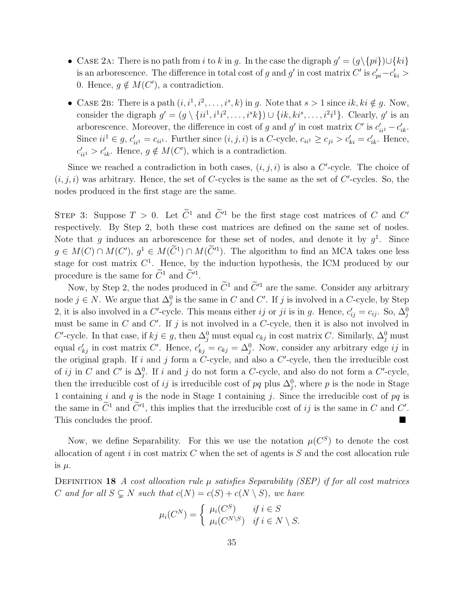- CASE 2A: There is no path from *i* to *k* in *g*. In the case the digraph  $g' = (g \setminus \{pi\}) \cup \{ki\}$ is an arborescence. The difference in total cost of *g* and *g'* in cost matrix *C'* is  $c'_{pi} - c'_{ki} >$ 0. Hence,  $g \notin M(C')$ , a contradiction.
- CASE 2B: There is a path  $(i, i^1, i^2, \ldots, i^s, k)$  in *g*. Note that  $s > 1$  since  $ik, ki \notin g$ . Now, consider the digraph  $g' = (g \setminus \{ii^1, i^1i^2, \ldots, i^sk\}) \cup \{ik, ki^s, \ldots, i^2i^1\}$ . Clearly, g' is an arborescence. Moreover, the difference in cost of *g* and *g'* in cost matrix  $C'$  is  $c'_{ii} - c'_{ik}$ . Since  $ii^1 \in g$ ,  $c'_{ii^1} = c_{ii^1}$ . Further since  $(i, j, i)$  is a C-cycle,  $c_{ii^1} \ge c_{ji} > c'_{ki} = c'_{ik}$ . Hence,  $c'_{ii}$  >  $c'_{ik}$ . Hence,  $g \notin M(C')$ , which is a contradiction.

Since we reached a contradiction in both cases,  $(i, j, i)$  is also a  $C'$ -cycle. The choice of  $(i, j, i)$  was arbitrary. Hence, the set of *C*-cycles is the same as the set of *C'*-cycles. So, the nodes produced in the first stage are the same.

STEP 3: Suppose  $T > 0$ . Let  $\tilde{C}^1$  and  $\tilde{C}^{\prime 1}$  be the first stage cost matrices of *C* and *C'* respectively. By Step 2, both these cost matrices are defined on the same set of nodes. Note that *g* induces an arborescence for these set of nodes, and denote it by  $g^1$ . Since *g* ∈ *M*(*C*) ∩ *M*(*C'*), *g*<sup>1</sup> ∈ *M*(*C*<sup>1</sup>) ∩ *M*(*C*<sup>*'*1</sup>). The algorithm to find an MCA takes one less stage for cost matrix  $C<sup>1</sup>$ . Hence, by the induction hypothesis, the ICM produced by our procedure is the same for  $\tilde{C}^1$  and  $\tilde{C}'^1$ .

Now, by Step 2, the nodes produced in  $\tilde{C}^1$  and  $\tilde{C}'^1$  are the same. Consider any arbitrary node  $j \in N$ . We argue that  $\Delta_j^0$  is the same in *C* and *C'*. If *j* is involved in a *C*-cycle, by Step 2, it is also involved in a *C'*-cycle. This means either *ij* or *ji* is in *g*. Hence,  $c'_{ij} = c_{ij}$ . So,  $\Delta_j^0$ must be same in  $C$  and  $C'$ . If  $j$  is not involved in a  $C$ -cycle, then it is also not involved in *C*'-cycle. In that case, if  $kj \in g$ , then  $\Delta_j^0$  must equal  $c_{kj}$  in cost matrix *C*. Similarly,  $\Delta_j^0$  must equal  $c'_{kj}$  in cost matrix  $C'$ . Hence,  $c'_{kj} = c_{kj} = \Delta_j^0$ . Now, consider any arbitrary edge *ij* in the original graph. If  $i$  and  $j$  form a  $C$ -cycle, and also a  $C'$ -cycle, then the irreducible cost of *ij* in *C* and *C'* is  $\Delta_j^0$ . If *i* and *j* do not form a *C*-cycle, and also do not form a *C'*-cycle, then the irreducible cost of *ij* is irreducible cost of  $pq$  plus  $\Delta_j^0$ , where  $p$  is the node in Stage 1 containing *i* and *q* is the node in Stage 1 containing *j*. Since the irreducible cost of *pq* is the same in  $\tilde{C}^1$  and  $\tilde{C}^{\prime 1}$ , this implies that the irreducible cost of *ij* is the same in *C* and *C'*. This concludes the proof.

Now, we define Separability. For this we use the notation  $\mu(C^S)$  to denote the cost allocation of agent *i* in cost matrix *C* when the set of agents is *S* and the cost allocation rule is  $\mu$ .

DEFINITION **18** *A cost allocation rule*  $\mu$  *satisfies Separability (SEP) if for all cost matrices C* and for all  $S \subseteq N$  such that  $c(N) = c(S) + c(N \setminus S)$ , we have

$$
\mu_i(C^N) = \begin{cases} \mu_i(C^S) & \text{if } i \in S \\ \mu_i(C^{N \setminus S}) & \text{if } i \in N \setminus S. \end{cases}
$$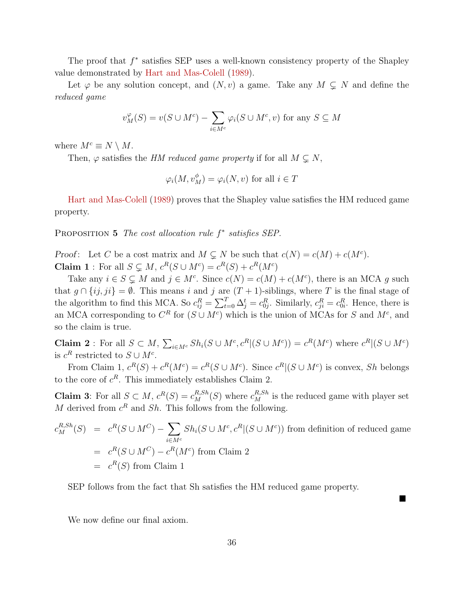The proof that *f ∗* satisfies SEP uses a well-known consistency property of the Shapley value demonstrated by Hart and Mas-Colell (1989).

Let  $\varphi$  be any solution concept, and  $(N, v)$  a game. Take any  $M \subsetneq N$  and define the *reduced game*

$$
v_M^{\varphi}(S) = v(S \cup M^c) - \sum_{i \in M^c} \varphi_i(S \cup M^c, v) \text{ for any } S \subseteq M
$$

where  $M^c \equiv N \setminus M$ .

Then,  $\varphi$  satisfies the *HM reduced game property* if for all  $M \subsetneq N$ ,

$$
\varphi_i(M, v_M^{\phi}) = \varphi_i(N, v) \text{ for all } i \in T
$$

Hart and Mas-Colell (1989) proves that the Shapley value satisfies the HM reduced game property.

Proposition **5** *The cost allocation rule f ∗ satisfies SEP.*

*Proof*: Let *C* be a cost matrix and  $M \subsetneq N$  be such that  $c(N) = c(M) + c(M^c)$ . **Claim 1**: For all  $S \subsetneq M$ ,  $c^R(S \cup M^c) = c^R(S) + c^R(M^c)$ 

Take any  $i \in S \subsetneq M$  and  $j \in M^c$ . Since  $c(N) = c(M) + c(M^c)$ , there is an MCA g such that  $g \cap \{ij, ji\} = \emptyset$ . This means *i* and *j* are  $(T + 1)$ -siblings, where *T* is the final stage of the algorithm to find this MCA. So  $c_{ij}^R = \sum_{t=0}^T \Delta_j^t = c_{0j}^R$ . Similarly,  $c_{ji}^R = c_{0i}^R$ . Hence, there is an MCA corresponding to  $C^R$  for  $(S \cup M^c)$  which is the union of MCAs for *S* and  $M^c$ , and so the claim is true.

**Claim 2**: For all  $S \subset M$ ,  $\sum_{i \in M^c} Sh_i(S \cup M^c, c^R | (S \cup M^c)) = c^R(M^c)$  where  $c^R | (S \cup M^c)$ is  $c^R$  restricted to  $S \cup M^c$ .

From Claim 1,  $c^R(S) + c^R(M^c) = c^R(S \cup M^c)$ . Since  $c^R|(S \cup M^c)$  is convex, *Sh* belongs to the core of  $c^R$ . This immediately establishes Claim 2.

**Claim 3**: For all  $S \subset M$ ,  $c^R(S) = c^{R, Sh}_{M}(S)$  where  $c^{R, Sh}_{M}$  is the reduced game with player set *M* derived from  $c^R$  and *Sh*. This follows from the following.

$$
c_M^{R,Sh}(S) = c^R(S \cup M^C) - \sum_{i \in M^c} Sh_i(S \cup M^c, c^R | (S \cup M^c))
$$
 from definition of reduced game  
= 
$$
c^R(S \cup M^C) - c^R(M^c)
$$
 from Claim 2  
= 
$$
c^R(S)
$$
 from Claim 1

SEP follows from the fact that Sh satisfies the HM reduced game property.

We now define our final axiom.

ш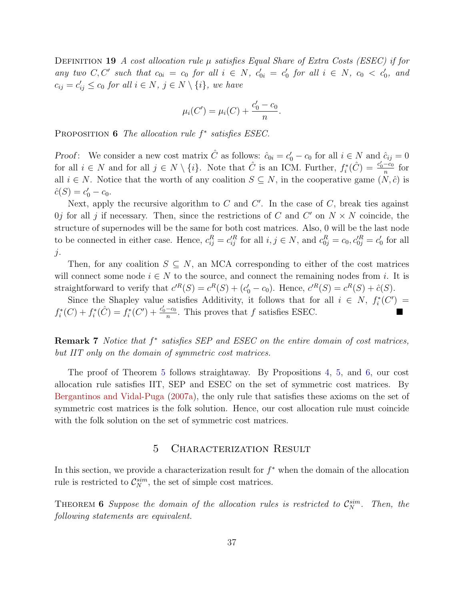Definition **19** *A cost allocation rule µ satisfies Equal Share of Extra Costs (ESEC) if for* any two C, C' such that  $c_{0i} = c_0$  for all  $i \in N$ ,  $c'_{0i} = c'_0$  for all  $i \in N$ ,  $c_0 < c'_0$ , and  $c_{ij} = c'_{ij} \leq c_0$  *for all*  $i \in N$ *,*  $j \in N \setminus \{i\}$ *, we have* 

$$
\mu_i(C') = \mu_i(C) + \frac{c'_0 - c_0}{n}.
$$

Proposition **6** *The allocation rule f ∗ satisfies ESEC.*

*Proof*: We consider a new cost matrix  $\hat{C}$  as follows:  $\hat{c}_{0i} = c'_0 - c_0$  for all  $i \in N$  and  $\hat{c}_{ij} = 0$ for all  $i \in N$  and for all  $j \in N \setminus \{i\}$ . Note that  $\hat{C}$  is an ICM. Further,  $f_i^*(\hat{C}) = \frac{c'_0 - c_0}{n}$  $\frac{-c_0}{n}$  for all  $i \in N$ . Notice that the worth of any coalition  $S \subseteq N$ , in the cooperative game  $(N, \hat{c})$  is  $\hat{c}(S) = c'_0 - c_0.$ 

Next, apply the recursive algorithm to *C* and *C ′* . In the case of *C*, break ties against 0*j* for all *j* if necessary. Then, since the restrictions of *C* and *C'* on  $N \times N$  coincide, the structure of supernodes will be the same for both cost matrices. Also, 0 will be the last node to be connected in either case. Hence,  $c_{ij}^R = c_{ij}^R$  for all  $i, j \in N$ , and  $c_{0j}^R = c_0, c_{0j}^R = c_0$  for all *j*.

Then, for any coalition  $S \subseteq N$ , an MCA corresponding to either of the cost matrices will connect some node  $i \in N$  to the source, and connect the remaining nodes from *i*. It is straightforward to verify that  $c^R(S) = c^R(S) + (c'_0 - c_0)$ . Hence,  $c^R(S) = c^R(S) + \hat{c}(S)$ .

Since the Shapley value satisfies Additivity, it follows that for all  $i \in N$ ,  $f_i^*(C') =$  $f_i^*(C) + f_i^*(\hat{C}) = f_i^*(C') + \frac{c'_0 - c_0}{n}$  $\frac{-c_0}{n}$ . This proves that *f* satisfies ESEC.

**Remark 7** *Notice that f ∗ satisfies SEP and ESEC on the entire domain of cost matrices, but IIT only on the domain of symmetric cost matrices.*

The proof of Theorem 5 follows straightaway. By Propositions 4, 5, and 6, our cost allocation rule satisfies IIT, SEP and ESEC on the set of symmetric cost matrices. By Bergantinos and Vidal-Puga (2007a), the only rule that satisfies these axioms on the set of symmetric cost matrices is the folk solution. Hence, our cost allocation rule must coincide with the folk solution on the set of symmetric cost matrices.

### 5 CHARACTERIZATION RESULT

In this section, we provide a characterization result for *f <sup>∗</sup>* when the domain of the allocation rule is restricted to  $\mathcal{C}_N^{sim}$ , the set of simple cost matrices.

**THEOREM 6** *Suppose the domain of the allocation rules is restricted to*  $C_N^{sim}$ . Then, the *following statements are equivalent.*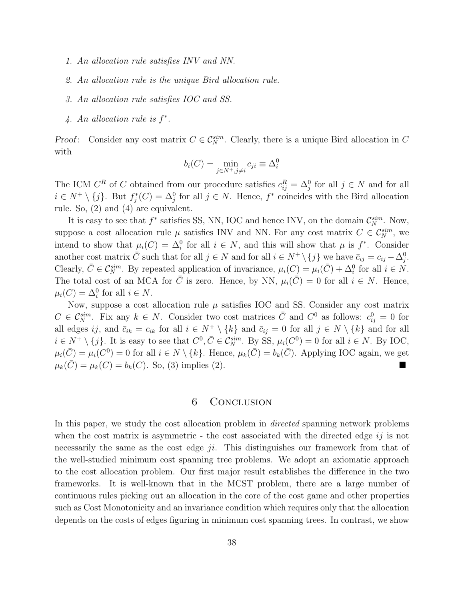- *1. An allocation rule satisfies INV and NN.*
- *2. An allocation rule is the unique Bird allocation rule.*
- *3. An allocation rule satisfies IOC and SS.*
- *4. An allocation rule is f ∗ .*

*Proof*: Consider any cost matrix  $C \in \mathcal{C}_N^{sim}$ . Clearly, there is a unique Bird allocation in C with

$$
b_i(C) = \min_{j \in N^+, j \neq i} c_{ji} \equiv \Delta_i^0
$$

The ICM  $C^R$  of *C* obtained from our procedure satisfies  $c_{ij}^R = \Delta_j^0$  for all  $j \in N$  and for all  $i \in N^+ \setminus \{j\}$ . But  $f_j^*(C) = \Delta_j^0$  for all  $j \in N$ . Hence,  $f^*$  coincides with the Bird allocation rule. So, (2) and (4) are equivalent.

It is easy to see that  $f^*$  satisfies SS, NN, IOC and hence INV, on the domain  $\mathcal{C}_N^{sim}$ . Now, suppose a cost allocation rule  $\mu$  satisfies INV and NN. For any cost matrix  $C \in \mathcal{C}_N^{sim}$ , we intend to show that  $\mu_i(C) = \Delta_i^0$  for all  $i \in N$ , and this will show that  $\mu$  is  $f^*$ . Consider another cost matrix  $\overline{C}$  such that for all  $j \in N$  and for all  $i \in N^+ \setminus \{j\}$  we have  $\overline{c}_{ij} = c_{ij} - \Delta_j^0$ . Clearly,  $\bar{C} \in \mathcal{C}_N^{sim}$ . By repeated application of invariance,  $\mu_i(C) = \mu_i(\bar{C}) + \Delta_i^0$  for all  $i \in \bar{N}$ . The total cost of an MCA for  $\overline{C}$  is zero. Hence, by NN,  $\mu_i(\overline{C}) = 0$  for all  $i \in N$ . Hence,  $\mu_i(C) = \Delta_i^0$  for all  $i \in N$ .

Now, suppose a cost allocation rule  $\mu$  satisfies IOC and SS. Consider any cost matrix  $C \in \mathcal{C}_N^{sim}$ . Fix any  $k \in N$ . Consider two cost matrices  $\overline{C}$  and  $C^0$  as follows:  $c_{ij}^0 = 0$  for all edges ij, and  $\overline{c}_{ik} = c_{ik}$  for all  $i \in N^+ \setminus \{k\}$  and  $\overline{c}_{ij} = 0$  for all  $j \in N \setminus \{k\}$  and for all  $i \in N^+ \setminus \{j\}$ . It is easy to see that  $C^0, \overline{C} \in \mathcal{C}_N^{sim}$ . By SS,  $\mu_i(C^0) = 0$  for all  $i \in N$ . By IOC,  $\mu_i(\bar{C}) = \mu_i(C^0) = 0$  for all  $i \in N \setminus \{k\}$ . Hence,  $\mu_k(\bar{C}) = b_k(\bar{C})$ . Applying IOC again, we get  $\mu_k(\bar{C}) = \mu_k(C) = b_k(C)$ . So, (3) implies (2).

#### 6 Conclusion

In this paper, we study the cost allocation problem in *directed* spanning network problems when the cost matrix is asymmetric - the cost associated with the directed edge *ij* is not necessarily the same as the cost edge *ji*. This distinguishes our framework from that of the well-studied minimum cost spanning tree problems. We adopt an axiomatic approach to the cost allocation problem. Our first major result establishes the difference in the two frameworks. It is well-known that in the MCST problem, there are a large number of continuous rules picking out an allocation in the core of the cost game and other properties such as Cost Monotonicity and an invariance condition which requires only that the allocation depends on the costs of edges figuring in minimum cost spanning trees. In contrast, we show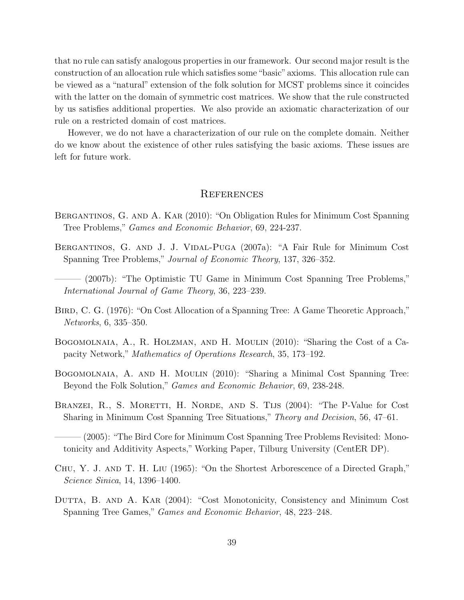that no rule can satisfy analogous properties in our framework. Our second major result is the construction of an allocation rule which satisfies some"basic"axioms. This allocation rule can be viewed as a "natural" extension of the folk solution for MCST problems since it coincides with the latter on the domain of symmetric cost matrices. We show that the rule constructed by us satisfies additional properties. We also provide an axiomatic characterization of our rule on a restricted domain of cost matrices.

However, we do not have a characterization of our rule on the complete domain. Neither do we know about the existence of other rules satisfying the basic axioms. These issues are left for future work.

#### **REFERENCES**

- Bergantinos, G. and A. Kar (2010): "On Obligation Rules for Minimum Cost Spanning Tree Problems," *Games and Economic Behavior*, 69, 224-237.
- Bergantinos, G. and J. J. Vidal-Puga (2007a): "A Fair Rule for Minimum Cost Spanning Tree Problems," *Journal of Economic Theory*, 137, 326–352.
- ——— (2007b): "The Optimistic TU Game in Minimum Cost Spanning Tree Problems," *International Journal of Game Theory*, 36, 223–239.
- BIRD, C. G. (1976): "On Cost Allocation of a Spanning Tree: A Game Theoretic Approach," *Networks*, 6, 335–350.
- Bogomolnaia, A., R. Holzman, and H. Moulin (2010): "Sharing the Cost of a Capacity Network," *Mathematics of Operations Research*, 35, 173–192.
- Bogomolnaia, A. and H. Moulin (2010): "Sharing a Minimal Cost Spanning Tree: Beyond the Folk Solution," *Games and Economic Behavior*, 69, 238-248.
- BRANZEI, R., S. MORETTI, H. NORDE, AND S. TIJS (2004): "The P-Value for Cost Sharing in Minimum Cost Spanning Tree Situations," *Theory and Decision*, 56, 47–61.

- Chu, Y. J. and T. H. Liu (1965): "On the Shortest Arborescence of a Directed Graph," *Science Sinica*, 14, 1396–1400.
- DUTTA, B. AND A. KAR (2004): "Cost Monotonicity, Consistency and Minimum Cost Spanning Tree Games," *Games and Economic Behavior*, 48, 223–248.

 $(2005)$ : "The Bird Core for Minimum Cost Spanning Tree Problems Revisited: Monotonicity and Additivity Aspects," Working Paper, Tilburg University (CentER DP).